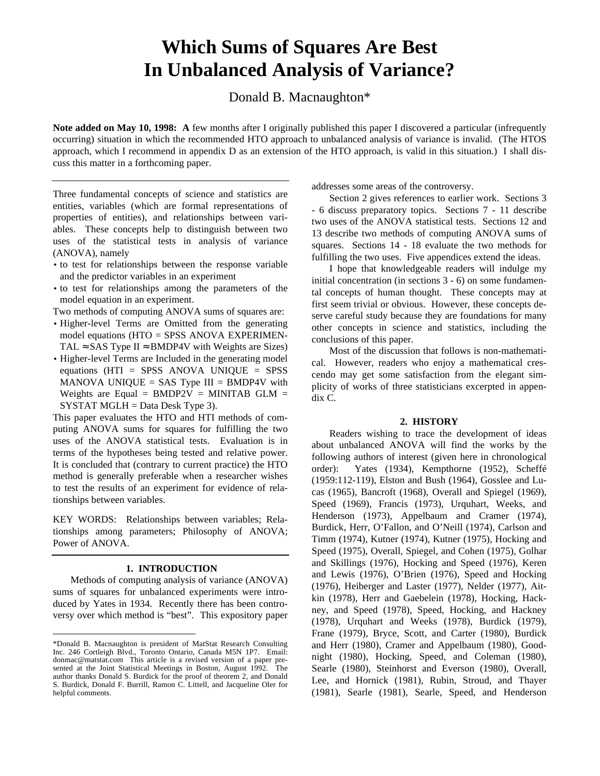# **Which Sums of Squares Are Best In Unbalanced Analysis of Variance?**

Donald B. Macnaughton\*

**Note added on May 10, 1998: A** few months after I originally published this paper I discovered a particular (infrequently occurring) situation in which the recommended HTO approach to unbalanced analysis of variance is invalid. (The HTOS approach, which I recommend in appendix D as an extension of the HTO approach, is valid in this situation.) I shall discuss this matter in a forthcoming paper.

Three fundamental concepts of science and statistics are entities, variables (which are formal representations of properties of entities), and relationships between variables. These concepts help to distinguish between two uses of the statistical tests in analysis of variance (ANOVA), namely

- to test for relationships between the response variable and the predictor variables in an experiment
- to test for relationships among the parameters of the model equation in an experiment.

Two methods of computing ANOVA sums of squares are:

- Higher-level Terms are Omitted from the generating model equations (HTO = SPSS ANOVA EXPERIMEN-TAL  $\approx$  SAS Type II  $\approx$  BMDP4V with Weights are Sizes)
- Higher-level Terms are Included in the generating model equations (HTI = SPSS ANOVA UNIQUE = SPSS MANOVA UNIQUE = SAS Type  $III =$  BMDP4V with Weights are Equal = BMDP2V = MINITAB GLM = SYSTAT MGLH = Data Desk Type 3).

This paper evaluates the HTO and HTI methods of computing ANOVA sums for squares for fulfilling the two uses of the ANOVA statistical tests. Evaluation is in terms of the hypotheses being tested and relative power. It is concluded that (contrary to current practice) the HTO method is generally preferable when a researcher wishes to test the results of an experiment for evidence of relationships between variables.

KEY WORDS: Relationships between variables; Relationships among parameters; Philosophy of ANOVA; Power of ANOVA.

# **1. INTRODUCTION**

Methods of computing analysis of variance (ANOVA) sums of squares for unbalanced experiments were introduced by Yates in 1934. Recently there has been controversy over which method is "best". This expository paper addresses some areas of the controversy.

Section 2 gives references to earlier work. Sections 3 - 6 discuss preparatory topics. Sections 7 - 11 describe two uses of the ANOVA statistical tests. Sections 12 and 13 describe two methods of computing ANOVA sums of squares. Sections 14 - 18 evaluate the two methods for fulfilling the two uses. Five appendices extend the ideas.

I hope that knowledgeable readers will indulge my initial concentration (in sections 3 - 6) on some fundamental concepts of human thought. These concepts may at first seem trivial or obvious. However, these concepts deserve careful study because they are foundations for many other concepts in science and statistics, including the conclusions of this paper.

Most of the discussion that follows is non-mathematical. However, readers who enjoy a mathematical crescendo may get some satisfaction from the elegant simplicity of works of three statisticians excerpted in appendix C.

# **2. HISTORY**

Readers wishing to trace the development of ideas about unbalanced ANOVA will find the works by the following authors of interest (given here in chronological order): Yates (1934), Kempthorne (1952), Scheffé (1959:112-119), Elston and Bush (1964), Gosslee and Lucas (1965), Bancroft (1968), Overall and Spiegel (1969), Speed (1969), Francis (1973), Urquhart, Weeks, and Henderson (1973), Appelbaum and Cramer (1974), Burdick, Herr, O'Fallon, and O'Neill (1974), Carlson and Timm (1974), Kutner (1974), Kutner (1975), Hocking and Speed (1975), Overall, Spiegel, and Cohen (1975), Golhar and Skillings (1976), Hocking and Speed (1976), Keren and Lewis (1976), O'Brien (1976), Speed and Hocking (1976), Heiberger and Laster (1977), Nelder (1977), Aitkin (1978), Herr and Gaebelein (1978), Hocking, Hackney, and Speed (1978), Speed, Hocking, and Hackney (1978), Urquhart and Weeks (1978), Burdick (1979), Frane (1979), Bryce, Scott, and Carter (1980), Burdick and Herr (1980), Cramer and Appelbaum (1980), Goodnight (1980), Hocking, Speed, and Coleman (1980), Searle (1980), Steinhorst and Everson (1980), Overall, Lee, and Hornick (1981), Rubin, Stroud, and Thayer (1981), Searle (1981), Searle, Speed, and Henderson

<sup>-</sup>\*Donald B. Macnaughton is president of MatStat Research Consulting Inc. 246 Cortleigh Blvd., Toronto Ontario, Canada M5N 1P7. Email: donmac@matstat.com This article is a revised version of a paper presented at the Joint Statistical Meetings in Boston, August 1992. The author thanks Donald S. Burdick for the proof of theorem 2, and Donald S. Burdick, Donald F. Burrill, Ramon C. Littell, and Jacqueline Oler for helpful comments.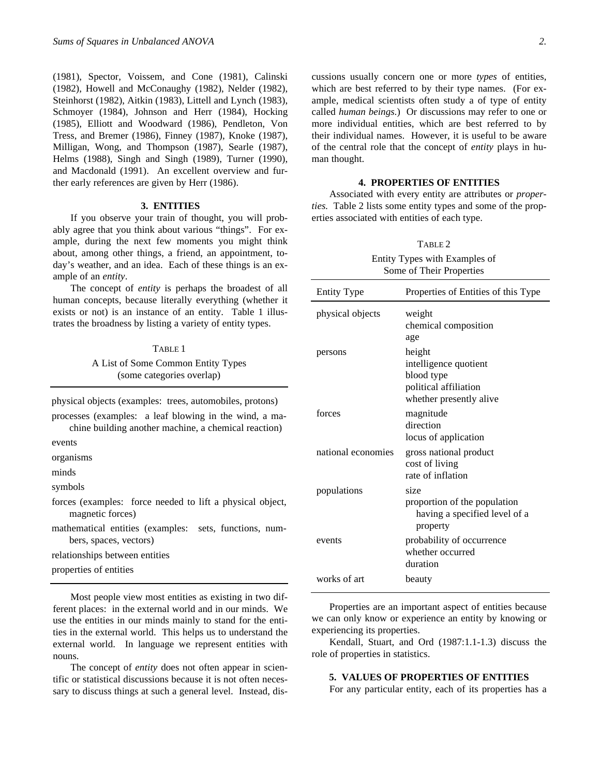(1981), Spector, Voissem, and Cone (1981), Calinski (1982), Howell and McConaughy (1982), Nelder (1982), Steinhorst (1982), Aitkin (1983), Littell and Lynch (1983), Schmoyer (1984), Johnson and Herr (1984), Hocking (1985), Elliott and Woodward (1986), Pendleton, Von Tress, and Bremer (1986), Finney (1987), Knoke (1987), Milligan, Wong, and Thompson (1987), Searle (1987), Helms (1988), Singh and Singh (1989), Turner (1990), and Macdonald (1991). An excellent overview and further early references are given by Herr (1986).

#### **3. ENTITIES**

If you observe your train of thought, you will probably agree that you think about various "things". For example, during the next few moments you might think about, among other things, a friend, an appointment, today's weather, and an idea. Each of these things is an example of an *entity*.

The concept of *entity* is perhaps the broadest of all human concepts, because literally everything (whether it exists or not) is an instance of an entity. Table 1 illustrates the broadness by listing a variety of entity types.

#### TABLE 1

A List of Some Common Entity Types (some categories overlap)

physical objects (examples: trees, automobiles, protons)

processes (examples: a leaf blowing in the wind, a machine building another machine, a chemical reaction)

events

organisms

minds

symbols

forces (examples: force needed to lift a physical object, magnetic forces)

mathematical entities (examples: sets, functions, numbers, spaces, vectors)

relationships between entities

properties of entities

Most people view most entities as existing in two different places: in the external world and in our minds. We use the entities in our minds mainly to stand for the entities in the external world. This helps us to understand the external world. In language we represent entities with nouns.

The concept of *entity* does not often appear in scientific or statistical discussions because it is not often necessary to discuss things at such a general level. Instead, discussions usually concern one or more *types* of entities, which are best referred to by their type names. (For example, medical scientists often study a of type of entity called *human beings*.) Or discussions may refer to one or more individual entities, which are best referred to by their individual names. However, it is useful to be aware of the central role that the concept of *entity* plays in human thought.

## **4. PROPERTIES OF ENTITIES**

Associated with every entity are attributes or *properties.* Table 2 lists some entity types and some of the properties associated with entities of each type.

#### TABLE 2

Entity Types with Examples of Some of Their Properties

| <b>Entity Type</b> | Properties of Entities of this Type                                                               |
|--------------------|---------------------------------------------------------------------------------------------------|
| physical objects   | weight<br>chemical composition<br>age                                                             |
| persons            | height<br>intelligence quotient<br>blood type<br>political affiliation<br>whether presently alive |
| forces             | magnitude<br>direction<br>locus of application                                                    |
| national economies | gross national product<br>cost of living<br>rate of inflation                                     |
| populations        | size<br>proportion of the population<br>having a specified level of a<br>property                 |
| events             | probability of occurrence<br>whether occurred<br>duration                                         |
| works of art       | beauty                                                                                            |

Properties are an important aspect of entities because we can only know or experience an entity by knowing or experiencing its properties.

Kendall, Stuart, and Ord (1987:1.1-1.3) discuss the role of properties in statistics.

#### **5. VALUES OF PROPERTIES OF ENTITIES**

For any particular entity, each of its properties has a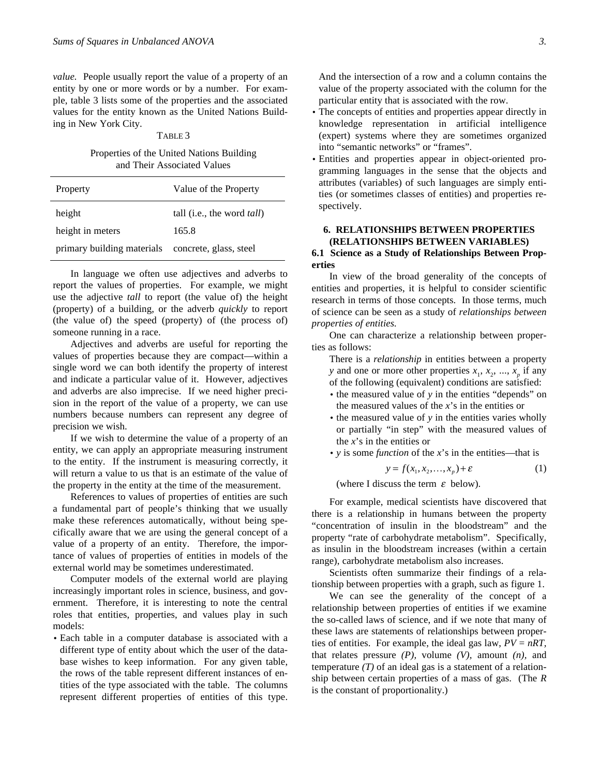*value.* People usually report the value of a property of an entity by one or more words or by a number. For example, table 3 lists some of the properties and the associated values for the entity known as the United Nations Building in New York City.

#### TABLE 3

Properties of the United Nations Building and Their Associated Values

| Property                   | Value of the Property              |
|----------------------------|------------------------------------|
| height                     | tall (i.e., the word <i>tall</i> ) |
| height in meters           | 165.8                              |
| primary building materials | concrete, glass, steel             |

In language we often use adjectives and adverbs to report the values of properties. For example, we might use the adjective *tall* to report (the value of) the height (property) of a building, or the adverb *quickly* to report (the value of) the speed (property) of (the process of) someone running in a race.

Adjectives and adverbs are useful for reporting the values of properties because they are compact—within a single word we can both identify the property of interest and indicate a particular value of it. However, adjectives and adverbs are also imprecise. If we need higher precision in the report of the value of a property, we can use numbers because numbers can represent any degree of precision we wish.

If we wish to determine the value of a property of an entity, we can apply an appropriate measuring instrument to the entity. If the instrument is measuring correctly, it will return a value to us that is an estimate of the value of the property in the entity at the time of the measurement.

References to values of properties of entities are such a fundamental part of people's thinking that we usually make these references automatically, without being specifically aware that we are using the general concept of a value of a property of an entity. Therefore, the importance of values of properties of entities in models of the external world may be sometimes underestimated.

Computer models of the external world are playing increasingly important roles in science, business, and government. Therefore, it is interesting to note the central roles that entities, properties, and values play in such models:

• Each table in a computer database is associated with a different type of entity about which the user of the database wishes to keep information. For any given table, the rows of the table represent different instances of entities of the type associated with the table. The columns represent different properties of entities of this type. And the intersection of a row and a column contains the value of the property associated with the column for the particular entity that is associated with the row.

- The concepts of entities and properties appear directly in knowledge representation in artificial intelligence (expert) systems where they are sometimes organized into "semantic networks" or "frames".
- Entities and properties appear in object-oriented programming languages in the sense that the objects and attributes (variables) of such languages are simply entities (or sometimes classes of entities) and properties respectively.

## **6. RELATIONSHIPS BETWEEN PROPERTIES (RELATIONSHIPS BETWEEN VARIABLES)**

# **6.1 Science as a Study of Relationships Between Properties**

In view of the broad generality of the concepts of entities and properties, it is helpful to consider scientific research in terms of those concepts. In those terms, much of science can be seen as a study of *relationships between properties of entities.*

One can characterize a relationship between properties as follows:

There is a *relationship* in entities between a property *y* and one or more other properties  $x_1, x_2, ..., x_p$  if any of the following (equivalent) conditions are satisfied:

- the measured value of *y* in the entities "depends" on the measured values of the *x*'s in the entities or
- the measured value of *y* in the entities varies wholly or partially "in step" with the measured values of the *x*'s in the entities or
- *y* is some *function* of the *x*'s in the entities—that is

$$
y = f(x_1, x_2, \dots, x_p) + \varepsilon \tag{1}
$$

 $y = f(x_1, x_2,...,x_p) + \varepsilon$ <br>(where I discuss the term  $\varepsilon$  below).

For example, medical scientists have discovered that there is a relationship in humans between the property "concentration of insulin in the bloodstream" and the property "rate of carbohydrate metabolism". Specifically, as insulin in the bloodstream increases (within a certain range), carbohydrate metabolism also increases.

Scientists often summarize their findings of a relationship between properties with a graph, such as figure 1.

We can see the generality of the concept of a relationship between properties of entities if we examine the so-called laws of science, and if we note that many of these laws are statements of relationships between properties of entities. For example, the ideal gas law,  $PV = nRT$ , that relates pressure *(P),* volume *(V),* amount *(n),* and temperature  $(T)$  of an ideal gas is a statement of a relationship between certain properties of a mass of gas. (The *R* is the constant of proportionality.)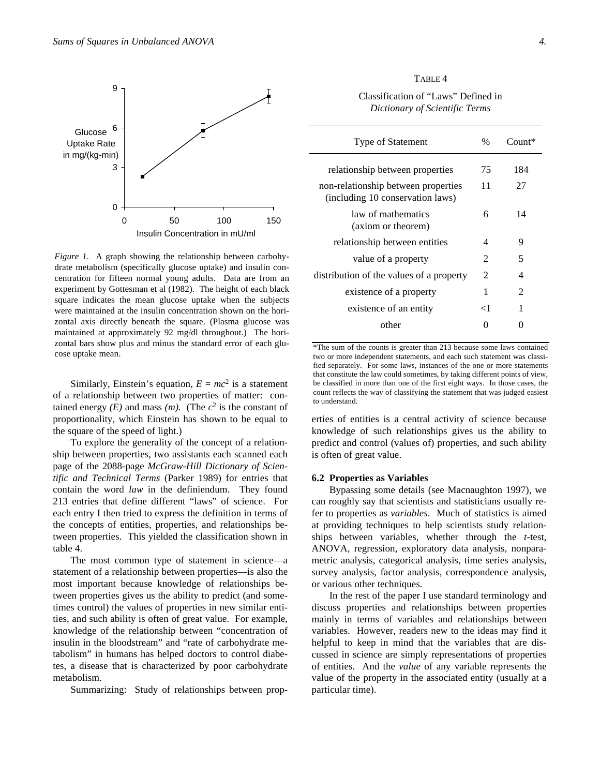

*Figure 1*. A graph showing the relationship between carbohydrate metabolism (specifically glucose uptake) and insulin concentration for fifteen normal young adults. Data are from an experiment by Gottesman et al (1982). The height of each black square indicates the mean glucose uptake when the subjects were maintained at the insulin concentration shown on the horizontal axis directly beneath the square. (Plasma glucose was maintained at approximately 92 mg/dl throughout.) The horizontal bars show plus and minus the standard error of each glucose uptake mean.

Similarly, Einstein's equation,  $E = mc^2$  is a statement of a relationship between two properties of matter: contained energy  $(E)$  and mass  $(m)$ . (The  $c<sup>2</sup>$  is the constant of proportionality, which Einstein has shown to be equal to the square of the speed of light.)

To explore the generality of the concept of a relationship between properties, two assistants each scanned each page of the 2088-page *McGraw-Hill Dictionary of Scientific and Technical Terms* (Parker 1989) for entries that contain the word *law* in the definiendum. They found 213 entries that define different "laws" of science. For each entry I then tried to express the definition in terms of the concepts of entities, properties, and relationships between properties. This yielded the classification shown in table 4.

The most common type of statement in science—a statement of a relationship between properties—is also the most important because knowledge of relationships between properties gives us the ability to predict (and sometimes control) the values of properties in new similar entities, and such ability is often of great value. For example, knowledge of the relationship between "concentration of insulin in the bloodstream" and "rate of carbohydrate metabolism" in humans has helped doctors to control diabetes, a disease that is characterized by poor carbohydrate metabolism.

Summarizing: Study of relationships between prop-

Classification of "Laws" Defined in *Dictionary of Scientific Terms*

| Type of Statement                                                       | $\%$                        | $Comnt^*$ |
|-------------------------------------------------------------------------|-----------------------------|-----------|
| relationship between properties                                         | 75                          | 184       |
| non-relationship between properties<br>(including 10 conservation laws) | 11                          | 27        |
| law of mathematics<br>(axiom or theorem)                                | 6                           | 14        |
| relationship between entities                                           | 4                           | Q         |
| value of a property                                                     | $\mathcal{D}_{\mathcal{L}}$ | 5         |
| distribution of the values of a property                                | 2                           | 4         |
| existence of a property                                                 | 1                           | 2         |
| existence of an entity                                                  | ا >                         | 1         |
| other                                                                   |                             |           |

\*The sum of the counts is greater than 213 because some laws contained two or more independent statements, and each such statement was classified separately. For some laws, instances of the one or more statements that constitute the law could sometimes, by taking different points of view, be classified in more than one of the first eight ways. In those cases, the count reflects the way of classifying the statement that was judged easiest to understand.

erties of entities is a central activity of science because knowledge of such relationships gives us the ability to predict and control (values of) properties, and such ability is often of great value.

#### **6.2 Properties as Variables**

Bypassing some details (see Macnaughton 1997), we can roughly say that scientists and statisticians usually refer to properties as *variables*. Much of statistics is aimed at providing techniques to help scientists study relationships between variables, whether through the *t*-test, ANOVA, regression, exploratory data analysis, nonparametric analysis, categorical analysis, time series analysis, survey analysis, factor analysis, correspondence analysis, or various other techniques.

In the rest of the paper I use standard terminology and discuss properties and relationships between properties mainly in terms of variables and relationships between variables. However, readers new to the ideas may find it helpful to keep in mind that the variables that are discussed in science are simply representations of properties of entities. And the *value* of any variable represents the value of the property in the associated entity (usually at a particular time).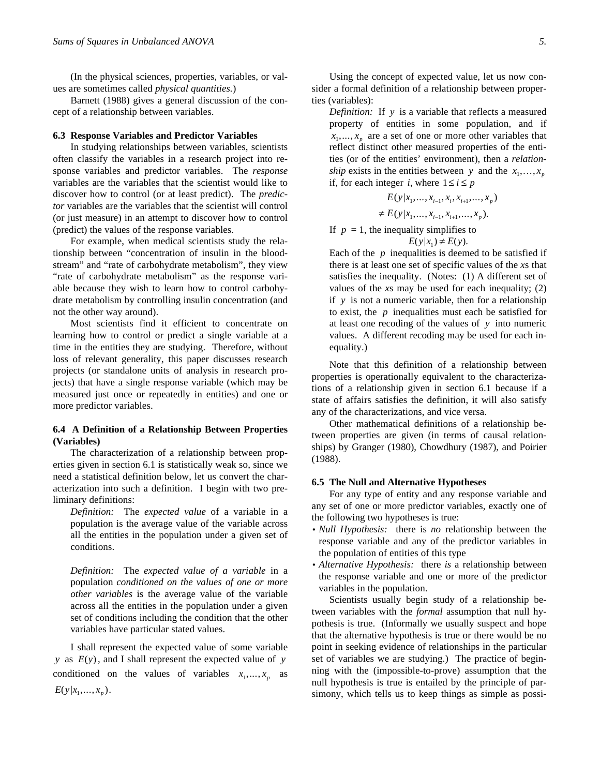(In the physical sciences, properties, variables, or values are sometimes called *physical quantities.*)

Barnett (1988) gives a general discussion of the concept of a relationship between variables.

#### **6.3 Response Variables and Predictor Variables**

In studying relationships between variables, scientists often classify the variables in a research project into response variables and predictor variables. The *response* variables are the variables that the scientist would like to discover how to control (or at least predict). The *predictor* variables are the variables that the scientist will control (or just measure) in an attempt to discover how to control (predict) the values of the response variables.

For example, when medical scientists study the relationship between "concentration of insulin in the bloodstream" and "rate of carbohydrate metabolism", they view "rate of carbohydrate metabolism" as the response variable because they wish to learn how to control carbohydrate metabolism by controlling insulin concentration (and not the other way around).

Most scientists find it efficient to concentrate on learning how to control or predict a single variable at a time in the entities they are studying. Therefore, without loss of relevant generality, this paper discusses research projects (or standalone units of analysis in research projects) that have a single response variable (which may be measured just once or repeatedly in entities) and one or more predictor variables.

# **6.4 A Definition of a Relationship Between Properties (Variables)**

The characterization of a relationship between properties given in section 6.1 is statistically weak so, since we need a statistical definition below, let us convert the characterization into such a definition. I begin with two preliminary definitions:

*Definition:* The *expected value* of a variable in a population is the average value of the variable across all the entities in the population under a given set of conditions.

*Definition:* The *expected value of a variable* in a population *conditioned on the values of one or more other variables* is the average value of the variable across all the entities in the population under a given set of conditions including the condition that the other variables have particular stated values.

I shall represent the expected value of some variable *y* as *E*(*y*), and I shall represent the expected value of *y* conditioned on the values of variables  $x_1, \ldots, x_p$  as  $E(y|x_1,...,x_p).$ 

Using the concept of expected value, let us now consider a formal definition of a relationship between properties (variables):

*Definition:* If *y* is a variable that reflects a measured property of entities in some population, and if  $x_1, \ldots, x_p$  are a set of one or more other variables that reflect distinct other measured properties of the entities (or of the entities' environment), then a *relationship* exists in the entities between *y* and the  $x_1, \ldots, x_p$ <br>if for each integer *i* where  $1 \le i \le p$ if, for each integer *i*, where  $1 \le i \le p$ 

$$
E(y|x_1, ..., x_{i-1}, x_i, x_{i+1}, ..., x_p)
$$
  

$$
\neq E(y|x_1, ..., x_{i-1}, x_{i+1}, ..., x_p).
$$

If  $p = 1$ , the inequality simplifies to

$$
E(y|x_1) \neq E(y).
$$

Each of the *p* inequalities is deemed to be satisfied if there is at least one set of specific values of the *x*s that satisfies the inequality. (Notes: (1) A different set of values of the *x*s may be used for each inequality; (2) if *y* is not a numeric variable, then for a relationship to exist, the *p* inequalities must each be satisfied for at least one recoding of the values of *y* into numeric values. A different recoding may be used for each inequality.)

Note that this definition of a relationship between properties is operationally equivalent to the characterizations of a relationship given in section 6.1 because if a state of affairs satisfies the definition, it will also satisfy any of the characterizations, and vice versa.

Other mathematical definitions of a relationship between properties are given (in terms of causal relationships) by Granger (1980), Chowdhury (1987), and Poirier (1988).

#### **6.5 The Null and Alternative Hypotheses**

For any type of entity and any response variable and any set of one or more predictor variables, exactly one of the following two hypotheses is true:

- *Null Hypothesis:* there is *no* relationship between the response variable and any of the predictor variables in the population of entities of this type
- *Alternative Hypothesis:* there *is* a relationship between the response variable and one or more of the predictor variables in the population.

Scientists usually begin study of a relationship between variables with the *formal* assumption that null hypothesis is true. (Informally we usually suspect and hope that the alternative hypothesis is true or there would be no point in seeking evidence of relationships in the particular set of variables we are studying.) The practice of beginning with the (impossible-to-prove) assumption that the null hypothesis is true is entailed by the principle of parsimony, which tells us to keep things as simple as possi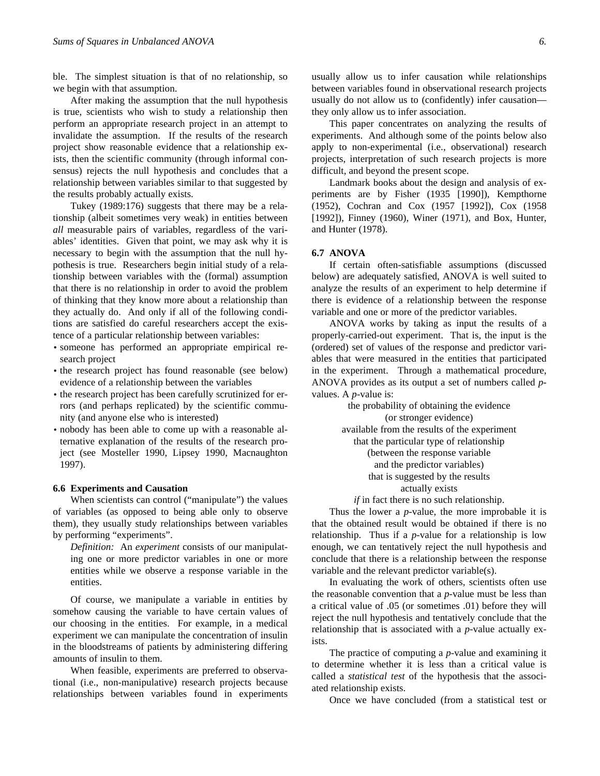ble. The simplest situation is that of no relationship, so we begin with that assumption.

After making the assumption that the null hypothesis is true, scientists who wish to study a relationship then perform an appropriate research project in an attempt to invalidate the assumption. If the results of the research project show reasonable evidence that a relationship exists, then the scientific community (through informal consensus) rejects the null hypothesis and concludes that a relationship between variables similar to that suggested by the results probably actually exists.

Tukey (1989:176) suggests that there may be a relationship (albeit sometimes very weak) in entities between *all* measurable pairs of variables, regardless of the variables' identities. Given that point, we may ask why it is necessary to begin with the assumption that the null hypothesis is true. Researchers begin initial study of a relationship between variables with the (formal) assumption that there is no relationship in order to avoid the problem of thinking that they know more about a relationship than they actually do. And only if all of the following conditions are satisfied do careful researchers accept the existence of a particular relationship between variables:

- someone has performed an appropriate empirical research project
- the research project has found reasonable (see below) evidence of a relationship between the variables
- the research project has been carefully scrutinized for errors (and perhaps replicated) by the scientific community (and anyone else who is interested)
- nobody has been able to come up with a reasonable alternative explanation of the results of the research project (see Mosteller 1990, Lipsey 1990, Macnaughton 1997).

#### **6.6 Experiments and Causation**

When scientists can control ("manipulate") the values of variables (as opposed to being able only to observe them), they usually study relationships between variables by performing "experiments".

*Definition:* An *experiment* consists of our manipulating one or more predictor variables in one or more entities while we observe a response variable in the entities.

Of course, we manipulate a variable in entities by somehow causing the variable to have certain values of our choosing in the entities. For example, in a medical experiment we can manipulate the concentration of insulin in the bloodstreams of patients by administering differing amounts of insulin to them.

When feasible, experiments are preferred to observational (i.e., non-manipulative) research projects because relationships between variables found in experiments usually allow us to infer causation while relationships between variables found in observational research projects usually do not allow us to (confidently) infer causation they only allow us to infer association.

This paper concentrates on analyzing the results of experiments. And although some of the points below also apply to non-experimental (i.e., observational) research projects, interpretation of such research projects is more difficult, and beyond the present scope.

Landmark books about the design and analysis of experiments are by Fisher (1935 [1990]), Kempthorne (1952), Cochran and Cox (1957 [1992]), Cox (1958 [1992]), Finney (1960), Winer (1971), and Box, Hunter, and Hunter (1978).

#### **6.7 ANOVA**

If certain often-satisfiable assumptions (discussed below) are adequately satisfied, ANOVA is well suited to analyze the results of an experiment to help determine if there is evidence of a relationship between the response variable and one or more of the predictor variables.

ANOVA works by taking as input the results of a properly-carried-out experiment. That is, the input is the (ordered) set of values of the response and predictor variables that were measured in the entities that participated in the experiment. Through a mathematical procedure, ANOVA provides as its output a set of numbers called *p*values. A *p*-value is:

> the probability of obtaining the evidence (or stronger evidence) available from the results of the experiment that the particular type of relationship (between the response variable and the predictor variables) that is suggested by the results actually exists

*if* in fact there is no such relationship.

Thus the lower a *p*-value, the more improbable it is that the obtained result would be obtained if there is no relationship. Thus if a *p*-value for a relationship is low enough, we can tentatively reject the null hypothesis and conclude that there is a relationship between the response variable and the relevant predictor variable(s).

In evaluating the work of others, scientists often use the reasonable convention that a *p*-value must be less than a critical value of .05 (or sometimes .01) before they will reject the null hypothesis and tentatively conclude that the relationship that is associated with a *p*-value actually exists.

The practice of computing a *p*-value and examining it to determine whether it is less than a critical value is called a *statistical test* of the hypothesis that the associated relationship exists.

Once we have concluded (from a statistical test or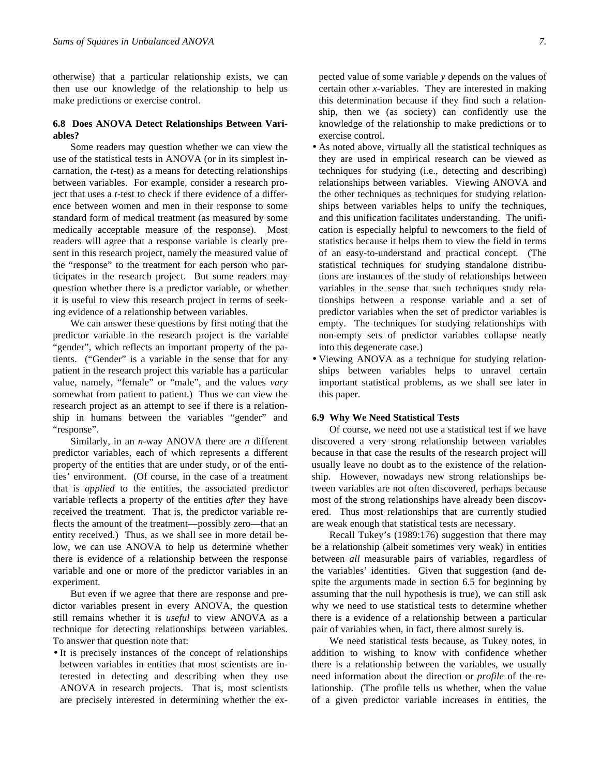otherwise) that a particular relationship exists, we can then use our knowledge of the relationship to help us make predictions or exercise control.

# **6.8 Does ANOVA Detect Relationships Between Variables?**

Some readers may question whether we can view the use of the statistical tests in ANOVA (or in its simplest incarnation, the *t*-test) as a means for detecting relationships between variables. For example, consider a research project that uses a *t*-test to check if there evidence of a difference between women and men in their response to some standard form of medical treatment (as measured by some medically acceptable measure of the response). Most readers will agree that a response variable is clearly present in this research project, namely the measured value of the "response" to the treatment for each person who participates in the research project. But some readers may question whether there is a predictor variable, or whether it is useful to view this research project in terms of seeking evidence of a relationship between variables.

We can answer these questions by first noting that the predictor variable in the research project is the variable "gender", which reflects an important property of the patients. ("Gender" is a variable in the sense that for any patient in the research project this variable has a particular value, namely, "female" or "male", and the values *vary* somewhat from patient to patient.) Thus we can view the research project as an attempt to see if there is a relationship in humans between the variables "gender" and "response".

Similarly, in an *n*-way ANOVA there are *n* different predictor variables, each of which represents a different property of the entities that are under study, or of the entities' environment. (Of course, in the case of a treatment that is *applied* to the entities, the associated predictor variable reflects a property of the entities *after* they have received the treatment. That is, the predictor variable reflects the amount of the treatment—possibly zero—that an entity received.) Thus, as we shall see in more detail below, we can use ANOVA to help us determine whether there is evidence of a relationship between the response variable and one or more of the predictor variables in an experiment.

But even if we agree that there are response and predictor variables present in every ANOVA, the question still remains whether it is *useful* to view ANOVA as a technique for detecting relationships between variables. To answer that question note that:

• It is precisely instances of the concept of relationships between variables in entities that most scientists are interested in detecting and describing when they use ANOVA in research projects. That is, most scientists are precisely interested in determining whether the expected value of some variable *y* depends on the values of certain other *x*-variables. They are interested in making this determination because if they find such a relationship, then we (as society) can confidently use the knowledge of the relationship to make predictions or to exercise control.

- As noted above, virtually all the statistical techniques as they are used in empirical research can be viewed as techniques for studying (i.e., detecting and describing) relationships between variables. Viewing ANOVA and the other techniques as techniques for studying relationships between variables helps to unify the techniques, and this unification facilitates understanding. The unification is especially helpful to newcomers to the field of statistics because it helps them to view the field in terms of an easy-to-understand and practical concept. (The statistical techniques for studying standalone distributions are instances of the study of relationships between variables in the sense that such techniques study relationships between a response variable and a set of predictor variables when the set of predictor variables is empty. The techniques for studying relationships with non-empty sets of predictor variables collapse neatly into this degenerate case.)
- Viewing ANOVA as a technique for studying relationships between variables helps to unravel certain important statistical problems, as we shall see later in this paper.

#### **6.9 Why We Need Statistical Tests**

Of course, we need not use a statistical test if we have discovered a very strong relationship between variables because in that case the results of the research project will usually leave no doubt as to the existence of the relationship. However, nowadays new strong relationships between variables are not often discovered, perhaps because most of the strong relationships have already been discovered. Thus most relationships that are currently studied are weak enough that statistical tests are necessary.

Recall Tukey's (1989:176) suggestion that there may be a relationship (albeit sometimes very weak) in entities between *all* measurable pairs of variables, regardless of the variables' identities. Given that suggestion (and despite the arguments made in section 6.5 for beginning by assuming that the null hypothesis is true), we can still ask why we need to use statistical tests to determine whether there is a evidence of a relationship between a particular pair of variables when, in fact, there almost surely is.

We need statistical tests because, as Tukey notes, in addition to wishing to know with confidence whether there is a relationship between the variables, we usually need information about the direction or *profile* of the relationship. (The profile tells us whether, when the value of a given predictor variable increases in entities, the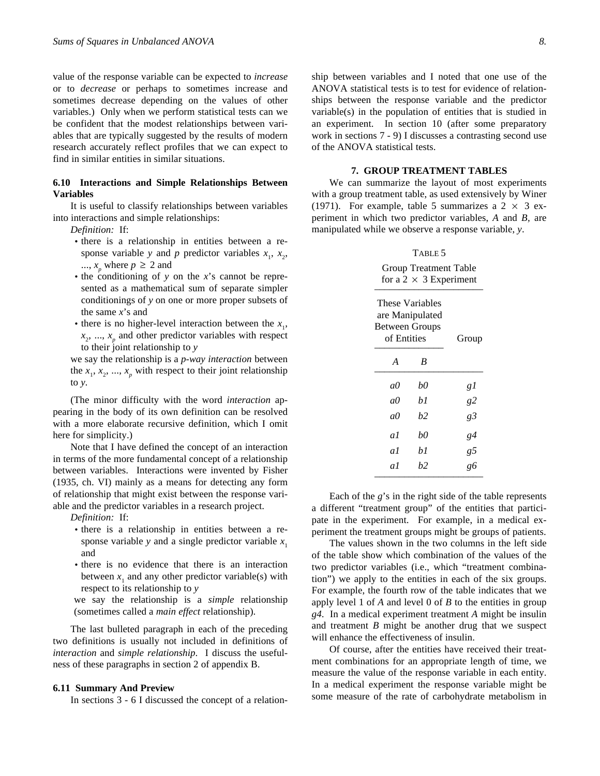value of the response variable can be expected to *increase* or to *decrease* or perhaps to sometimes increase and sometimes decrease depending on the values of other variables.) Only when we perform statistical tests can we be confident that the modest relationships between variables that are typically suggested by the results of modern research accurately reflect profiles that we can expect to find in similar entities in similar situations.

## **6.10 Interactions and Simple Relationships Between Variables**

It is useful to classify relationships between variables into interactions and simple relationships:

*Definition:* If:

- there is a relationship in entities between a response variable *y* and *p* predictor variables  $x_1$ ,  $x_2$ ,  $..., x<sub>p</sub>$  where  $p \ge 2$  and
- the conditioning of *y* on the *x*'s cannot be represented as a mathematical sum of separate simpler conditionings of *y* on one or more proper subsets of the same *x*'s and
- there is no higher-level interaction between the  $x_1$ ,  $x_2, \ldots, x_p$  and other predictor variables with respect to their joint relationship to *y*

we say the relationship is a *p-way interaction* between the  $x_1, x_2, ..., x_p$  with respect to their joint relationship to *y.*

(The minor difficulty with the word *interaction* appearing in the body of its own definition can be resolved with a more elaborate recursive definition, which I omit here for simplicity.)

Note that I have defined the concept of an interaction in terms of the more fundamental concept of a relationship between variables. Interactions were invented by Fisher (1935, ch. VI) mainly as a means for detecting any form of relationship that might exist between the response variable and the predictor variables in a research project.

*Definition:* If:

- there is a relationship in entities between a response variable *y* and a single predictor variable  $x_1$ and
- there is no evidence that there is an interaction between  $x_1$  and any other predictor variable(s) with respect to its relationship to *y*

we say the relationship is a *simple* relationship (sometimes called a *main effect* relationship).

The last bulleted paragraph in each of the preceding two definitions is usually not included in definitions of *interaction* and *simple relationship*. I discuss the usefulness of these paragraphs in section 2 of appendix B.

#### **6.11 Summary And Preview**

In sections 3 - 6 I discussed the concept of a relation-

ship between variables and I noted that one use of the ANOVA statistical tests is to test for evidence of relationships between the response variable and the predictor variable(s) in the population of entities that is studied in an experiment. In section 10 (after some preparatory work in sections 7 - 9) I discusses a contrasting second use of the ANOVA statistical tests.

#### **7. GROUP TREATMENT TABLES**

We can summarize the layout of most experiments with a group treatment table, as used extensively by Winer (1971). For example, table 5 summarizes a  $2 \times 3$  experiment in which two predictor variables, *A* and *B,* are manipulated while we observe a response variable, *y*.

# TABLE 5 Group Treatment Table

|                                                                            | for a 2 $\times$ 3 Experiment |    |
|----------------------------------------------------------------------------|-------------------------------|----|
| These Variables<br>are Manipulated<br><b>Between Groups</b><br>of Entities | Group                         |    |
| A                                                                          | B                             |    |
| aθ                                                                         | b0                            | gl |
| aθ                                                                         | bl                            | g2 |
| aθ                                                                         | b2                            | g3 |
| aΙ                                                                         | b0                            | g4 |
| aΙ                                                                         | b1                            | g5 |
| aΙ                                                                         | b2                            | g6 |

Each of the *g*'s in the right side of the table represents a different "treatment group" of the entities that participate in the experiment. For example, in a medical experiment the treatment groups might be groups of patients.

The values shown in the two columns in the left side of the table show which combination of the values of the two predictor variables (i.e., which "treatment combination") we apply to the entities in each of the six groups. For example, the fourth row of the table indicates that we apply level 1 of *A* and level 0 of *B* to the entities in group *g4*. In a medical experiment treatment *A* might be insulin and treatment *B* might be another drug that we suspect will enhance the effectiveness of insulin.

Of course, after the entities have received their treatment combinations for an appropriate length of time, we measure the value of the response variable in each entity. In a medical experiment the response variable might be some measure of the rate of carbohydrate metabolism in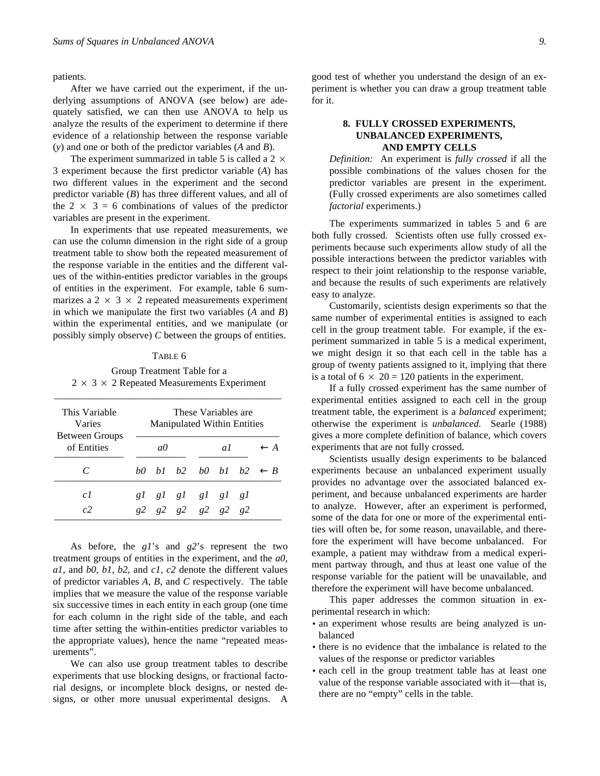patients.

After we have carried out the experiment, if the underlying assumptions of ANOVA (see below) are adequately satisfied, we can then use ANOVA to help us analyze the results of the experiment to determine if there evidence of a relationship between the response variable (*y*) and one or both of the predictor variables (*A* and *B*).

The experiment summarized in table 5 is called a  $2 \times$ 3 experiment because the first predictor variable (*A*) has two different values in the experiment and the second predictor variable (*B*) has three different values, and all of the  $2 \times 3 = 6$  combinations of values of the predictor variables are present in the experiment.

In experiments that use repeated measurements, we can use the column dimension in the right side of a group treatment table to show both the repeated measurement of the response variable in the entities and the different values of the within-entities predictor variables in the groups of entities in the experiment. For example, table 6 summarizes a  $2 \times 3 \times 2$  repeated measurements experiment in which we manipulate the first two variables (*A* and *B*) within the experimental entities, and we manipulate (or possibly simply observe) *C* between the groups of entities.

#### TABLE 6

Group Treatment Table for a  $2 \times 3 \times 2$  Repeated Measurements Experiment

\_\_\_\_\_\_\_\_\_\_\_\_\_\_\_\_\_\_\_\_\_\_\_\_\_\_\_\_\_\_\_\_\_\_\_\_\_\_\_\_\_\_\_\_\_\_

| This Variable<br>Varies<br><b>Between Groups</b> | These Variables are<br>Manipulated Within Entities |           |  |                      |    |  |                                  |
|--------------------------------------------------|----------------------------------------------------|-----------|--|----------------------|----|--|----------------------------------|
| of Entities                                      |                                                    | $a\theta$ |  |                      | αL |  | $\leftarrow$ A                   |
|                                                  |                                                    |           |  |                      |    |  | b0 b1 b2 b0 b1 b2 $\leftarrow$ B |
| c <sub>l</sub>                                   |                                                    |           |  | glglglglglgl         |    |  |                                  |
| $\epsilon$                                       |                                                    |           |  | g2 g2 g2 g2 g2 g2 g2 |    |  |                                  |

As before, the *g1*'s and *g2*'s represent the two treatment groups of entities in the experiment, and the *a0, a1,* and *b0, b1, b2,* and *c1, c2* denote the different values of predictor variables *A*, *B*, and *C* respectively. The table implies that we measure the value of the response variable six successive times in each entity in each group (one time for each column in the right side of the table, and each time after setting the within-entities predictor variables to the appropriate values), hence the name "repeated measurements".

We can also use group treatment tables to describe experiments that use blocking designs, or fractional factorial designs, or incomplete block designs, or nested designs, or other more unusual experimental designs. A

good test of whether you understand the design of an experiment is whether you can draw a group treatment table for it.

# **8. FULLY CROSSED EXPERIMENTS, UNBALANCED EXPERIMENTS, AND EMPTY CELLS**

*Definition:* An experiment is *fully crossed* if all the possible combinations of the values chosen for the predictor variables are present in the experiment. (Fully crossed experiments are also sometimes called *factorial* experiments.)

The experiments summarized in tables 5 and 6 are both fully crossed. Scientists often use fully crossed experiments because such experiments allow study of all the possible interactions between the predictor variables with respect to their joint relationship to the response variable, and because the results of such experiments are relatively easy to analyze.

Customarily, scientists design experiments so that the same number of experimental entities is assigned to each cell in the group treatment table. For example, if the experiment summarized in table 5 is a medical experiment, we might design it so that each cell in the table has a group of twenty patients assigned to it, implying that there is a total of  $6 \times 20 = 120$  patients in the experiment.

If a fully crossed experiment has the same number of experimental entities assigned to each cell in the group treatment table, the experiment is a *balanced* experiment; otherwise the experiment is *unbalanced.* Searle (1988) gives a more complete definition of balance, which covers experiments that are not fully crossed.

Scientists usually design experiments to be balanced experiments because an unbalanced experiment usually provides no advantage over the associated balanced experiment, and because unbalanced experiments are harder to analyze. However, after an experiment is performed, some of the data for one or more of the experimental entities will often be, for some reason, unavailable, and therefore the experiment will have become unbalanced. For example, a patient may withdraw from a medical experiment partway through, and thus at least one value of the response variable for the patient will be unavailable, and therefore the experiment will have become unbalanced.

This paper addresses the common situation in experimental research in which:

- an experiment whose results are being analyzed is unbalanced
- there is no evidence that the imbalance is related to the values of the response or predictor variables
- each cell in the group treatment table has at least one value of the response variable associated with it—that is, there are no "empty" cells in the table.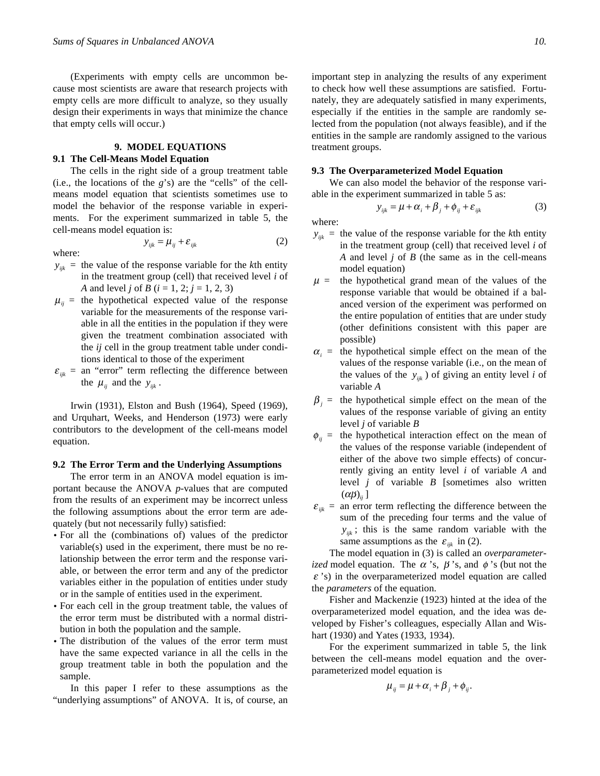(Experiments with empty cells are uncommon because most scientists are aware that research projects with empty cells are more difficult to analyze, so they usually design their experiments in ways that minimize the chance that empty cells will occur.)

## **9. MODEL EQUATIONS 9.1 The Cell-Means Model Equation**

The cells in the right side of a group treatment table (i.e., the locations of the *g*'s) are the "cells" of the cellmeans model equation that scientists sometimes use to model the behavior of the response variable in experiments. For the experiment summarized in table 5, the cell-means model equation is:

where:

$$
y_{ijk} = \mu_{ij} + \varepsilon_{ijk} \tag{2}
$$

- $y_{ijk}$  = the value of the response variable for the *k*th entity in the treatment group (cell) that received level *i* of *A* and level *j* of *B* (*i* = 1, 2; *j* = 1, 2, 3)
- $\mu_{ii}$  = the hypothetical expected value of the response variable for the measurements of the response variable in all the entities in the population if they were given the treatment combination associated with the *ij* cell in the group treatment table under conditions identical to those of the experiment
- $\varepsilon_{ijk}$  = an "error" term reflecting the difference between the  $\mu_{ij}$  and the  $y_{ijk}$ .

Irwin (1931), Elston and Bush (1964), Speed (1969), and Urquhart, Weeks, and Henderson (1973) were early contributors to the development of the cell-means model equation.

#### **9.2 The Error Term and the Underlying Assumptions**

The error term in an ANOVA model equation is important because the ANOVA *p*-values that are computed from the results of an experiment may be incorrect unless the following assumptions about the error term are adequately (but not necessarily fully) satisfied:

- For all the (combinations of) values of the predictor variable(s) used in the experiment, there must be no relationship between the error term and the response variable, or between the error term and any of the predictor variables either in the population of entities under study or in the sample of entities used in the experiment.
- For each cell in the group treatment table, the values of the error term must be distributed with a normal distribution in both the population and the sample.
- The distribution of the values of the error term must have the same expected variance in all the cells in the group treatment table in both the population and the sample.

In this paper I refer to these assumptions as the "underlying assumptions" of ANOVA. It is, of course, an important step in analyzing the results of any experiment to check how well these assumptions are satisfied. Fortunately, they are adequately satisfied in many experiments, especially if the entities in the sample are randomly selected from the population (not always feasible), and if the entities in the sample are randomly assigned to the various treatment groups.

## **9.3 The Overparameterized Model Equation**

We can also model the behavior of the response variable in the experiment summarized in table 5 as:

$$
y_{ijk} = \mu + \alpha_i + \beta_j + \phi_{ij} + \varepsilon_{ijk}
$$
 (3)

where:

- $y_{ijk}$  = the value of the response variable for the *k*th entity in the treatment group (cell) that received level *i* of *A* and level *j* of *B* (the same as in the cell-means model equation)
- $\mu$  = the hypothetical grand mean of the values of the response variable that would be obtained if a balanced version of the experiment was performed on the entire population of entities that are under study (other definitions consistent with this paper are possible)
- $\alpha_i$  = the hypothetical simple effect on the mean of the values of the response variable (i.e., on the mean of the values of the  $y_{ijk}$ ) of giving an entity level *i* of variable *A*
- $\beta_j$  = the hypothetical simple effect on the mean of the values of the response variable of giving an entity level *j* of variable *B*
- $\phi_{ii}$  = the hypothetical interaction effect on the mean of the values of the response variable (independent of either of the above two simple effects) of concurrently giving an entity level *i* of variable *A* and level *j* of variable *B* [sometimes also written  $(\alpha\beta)_{ii}$ ]
- $\varepsilon_{ijk}$  = an error term reflecting the difference between the sum of the preceding four terms and the value of  $y_{ijk}$ ; this is the same random variable with the same assumptions as the  $\varepsilon_{ijk}$  in (2).

The model equation in (3) is called an *overparameterized* model equation. The  $\alpha$  's,  $\beta$  's, and  $\phi$  's (but not the *e* 's) in the overparameterized model equation are called the *parameters* of the equation.

Fisher and Mackenzie (1923) hinted at the idea of the overparameterized model equation, and the idea was developed by Fisher's colleagues, especially Allan and Wishart (1930) and Yates (1933, 1934).

For the experiment summarized in table 5, the link between the cell-means model equation and the overparameterized model equation is

$$
\mu_{ij} = \mu + \alpha_i + \beta_j + \phi_{ij}.
$$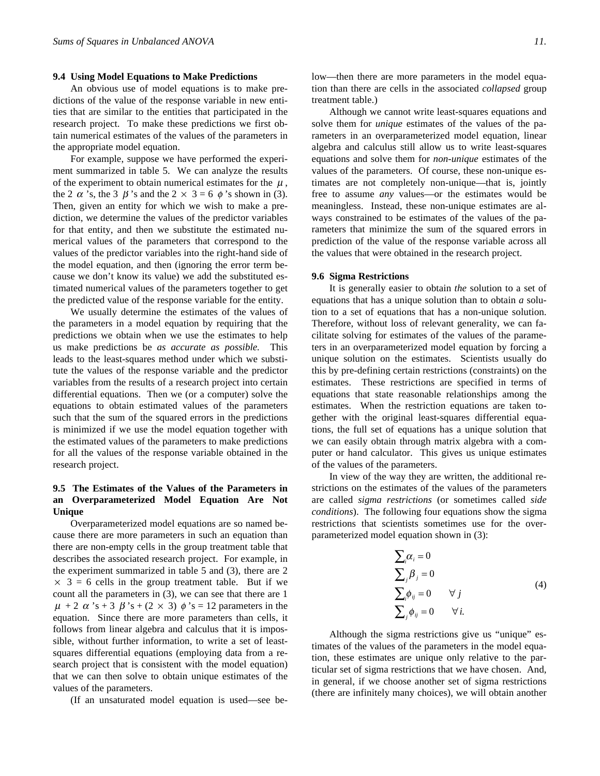#### **9.4 Using Model Equations to Make Predictions**

An obvious use of model equations is to make predictions of the value of the response variable in new entities that are similar to the entities that participated in the research project. To make these predictions we first obtain numerical estimates of the values of the parameters in the appropriate model equation.

For example, suppose we have performed the experiment summarized in table 5. We can analyze the results of the experiment to obtain numerical estimates for the  $\mu$ , the 2  $\alpha$  's, the 3  $\beta$  's and the 2  $\times$  3 = 6  $\phi$  's shown in (3). Then, given an entity for which we wish to make a prediction, we determine the values of the predictor variables for that entity, and then we substitute the estimated numerical values of the parameters that correspond to the values of the predictor variables into the right-hand side of the model equation, and then (ignoring the error term because we don't know its value) we add the substituted estimated numerical values of the parameters together to get the predicted value of the response variable for the entity.

We usually determine the estimates of the values of the parameters in a model equation by requiring that the predictions we obtain when we use the estimates to help us make predictions be *as accurate as possible.* This leads to the least-squares method under which we substitute the values of the response variable and the predictor variables from the results of a research project into certain differential equations. Then we (or a computer) solve the equations to obtain estimated values of the parameters such that the sum of the squared errors in the predictions is minimized if we use the model equation together with the estimated values of the parameters to make predictions for all the values of the response variable obtained in the research project.

# **9.5 The Estimates of the Values of the Parameters in an Overparameterized Model Equation Are Not Unique**

Overparameterized model equations are so named because there are more parameters in such an equation than there are non-empty cells in the group treatment table that describes the associated research project. For example, in the experiment summarized in table 5 and (3), there are 2  $\times$  3 = 6 cells in the group treatment table. But if we count all the parameters in (3), we can see that there are 1  $\mu$  + 2  $\alpha$  's + 3  $\beta$  's + (2  $\times$  3)  $\phi$  's = 12 parameters in the equation. Since there are more parameters than cells, it follows from linear algebra and calculus that it is impossible, without further information, to write a set of leastsquares differential equations (employing data from a research project that is consistent with the model equation) that we can then solve to obtain unique estimates of the values of the parameters.

(If an unsaturated model equation is used—see be-

low—then there are more parameters in the model equation than there are cells in the associated *collapsed* group treatment table.)

Although we cannot write least-squares equations and solve them for *unique* estimates of the values of the parameters in an overparameterized model equation, linear algebra and calculus still allow us to write least-squares equations and solve them for *non-unique* estimates of the values of the parameters. Of course, these non-unique estimates are not completely non-unique—that is, jointly free to assume *any* values—or the estimates would be meaningless. Instead, these non-unique estimates are always constrained to be estimates of the values of the parameters that minimize the sum of the squared errors in prediction of the value of the response variable across all the values that were obtained in the research project.

#### **9.6 Sigma Restrictions**

It is generally easier to obtain *the* solution to a set of equations that has a unique solution than to obtain *a* solution to a set of equations that has a non-unique solution. Therefore, without loss of relevant generality, we can facilitate solving for estimates of the values of the parameters in an overparameterized model equation by forcing a unique solution on the estimates. Scientists usually do this by pre-defining certain restrictions (constraints) on the estimates. These restrictions are specified in terms of equations that state reasonable relationships among the estimates. When the restriction equations are taken together with the original least-squares differential equations, the full set of equations has a unique solution that we can easily obtain through matrix algebra with a computer or hand calculator. This gives us unique estimates of the values of the parameters.

In view of the way they are written, the additional restrictions on the estimates of the values of the parameters are called *sigma restrictions* (or sometimes called *side conditions*). The following four equations show the sigma restrictions that scientists sometimes use for the overparameterized model equation shown in (3):

$$
\sum_{i} \alpha_{i} = 0
$$
\n
$$
\sum_{j} \beta_{j} = 0
$$
\n
$$
\sum_{i} \phi_{ij} = 0 \quad \forall j
$$
\n
$$
\sum_{j} \phi_{ij} = 0 \quad \forall i.
$$
\n(4)

Although the sigma restrictions give us "unique" estimates of the values of the parameters in the model equation, these estimates are unique only relative to the particular set of sigma restrictions that we have chosen. And, in general, if we choose another set of sigma restrictions (there are infinitely many choices), we will obtain another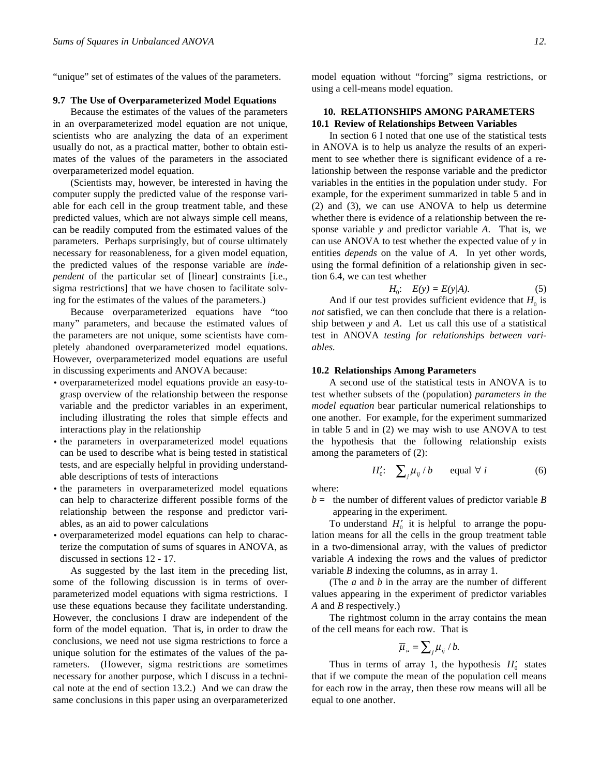"unique" set of estimates of the values of the parameters.

#### **9.7 The Use of Overparameterized Model Equations**

Because the estimates of the values of the parameters in an overparameterized model equation are not unique, scientists who are analyzing the data of an experiment usually do not, as a practical matter, bother to obtain estimates of the values of the parameters in the associated overparameterized model equation.

(Scientists may, however, be interested in having the computer supply the predicted value of the response variable for each cell in the group treatment table, and these predicted values, which are not always simple cell means, can be readily computed from the estimated values of the parameters. Perhaps surprisingly, but of course ultimately necessary for reasonableness, for a given model equation, the predicted values of the response variable are *independent* of the particular set of [linear] constraints [i.e., sigma restrictions] that we have chosen to facilitate solving for the estimates of the values of the parameters.)

Because overparameterized equations have "too many" parameters, and because the estimated values of the parameters are not unique, some scientists have completely abandoned overparameterized model equations. However, overparameterized model equations are useful in discussing experiments and ANOVA because:

- overparameterized model equations provide an easy-tograsp overview of the relationship between the response variable and the predictor variables in an experiment, including illustrating the roles that simple effects and interactions play in the relationship
- the parameters in overparameterized model equations can be used to describe what is being tested in statistical tests, and are especially helpful in providing understandable descriptions of tests of interactions
- the parameters in overparameterized model equations can help to characterize different possible forms of the relationship between the response and predictor variables, as an aid to power calculations
- overparameterized model equations can help to characterize the computation of sums of squares in ANOVA, as discussed in sections 12 - 17.

As suggested by the last item in the preceding list, some of the following discussion is in terms of overparameterized model equations with sigma restrictions. I use these equations because they facilitate understanding. However, the conclusions I draw are independent of the form of the model equation. That is, in order to draw the conclusions, we need not use sigma restrictions to force a unique solution for the estimates of the values of the parameters. (However, sigma restrictions are sometimes necessary for another purpose, which I discuss in a technical note at the end of section 13.2.) And we can draw the same conclusions in this paper using an overparameterized model equation without "forcing" sigma restrictions, or using a cell-means model equation.

# **10. RELATIONSHIPS AMONG PARAMETERS 10.1 Review of Relationships Between Variables**

In section 6 I noted that one use of the statistical tests in ANOVA is to help us analyze the results of an experiment to see whether there is significant evidence of a relationship between the response variable and the predictor variables in the entities in the population under study. For example, for the experiment summarized in table 5 and in (2) and (3), we can use ANOVA to help us determine whether there is evidence of a relationship between the response variable *y* and predictor variable *A*. That is, we can use ANOVA to test whether the expected value of *y* in entities *depends* on the value of *A*. In yet other words, using the formal definition of a relationship given in section 6.4, we can test whether

$$
H_0: E(y) = E(y|A). \tag{5}
$$

And if our test provides sufficient evidence that  $H_0$  is *not* satisfied, we can then conclude that there is a relationship between *y* and *A*. Let us call this use of a statistical test in ANOVA *testing for relationships between variables.*

#### **10.2 Relationships Among Parameters**

A second use of the statistical tests in ANOVA is to test whether subsets of the (population) *parameters in the model equation* bear particular numerical relationships to one another. For example, for the experiment summarized in table 5 and in (2) we may wish to use ANOVA to test the hypothesis that the following relationship exists among the parameters of (2):

$$
H'_0: \quad \sum_j \mu_{ij} / b \qquad \text{equal } \forall \ i \tag{6}
$$

where:

 $b =$  the number of different values of predictor variable *B* appearing in the experiment.

To understand  $H_0'$  it is helpful to arrange the population means for all the cells in the group treatment table in a two-dimensional array, with the values of predictor variable *A* indexing the rows and the values of predictor variable *B* indexing the columns, as in array 1.

(The *a* and *b* in the array are the number of different values appearing in the experiment of predictor variables *A* and *B* respectively.)

The rightmost column in the array contains the mean of the cell means for each row. That is

$$
\overline{\mu}_{i\bullet} = \sum_{j} \mu_{ij} / b.
$$

Thus in terms of array 1, the hypothesis  $H_0'$  states that if we compute the mean of the population cell means for each row in the array, then these row means will all be equal to one another.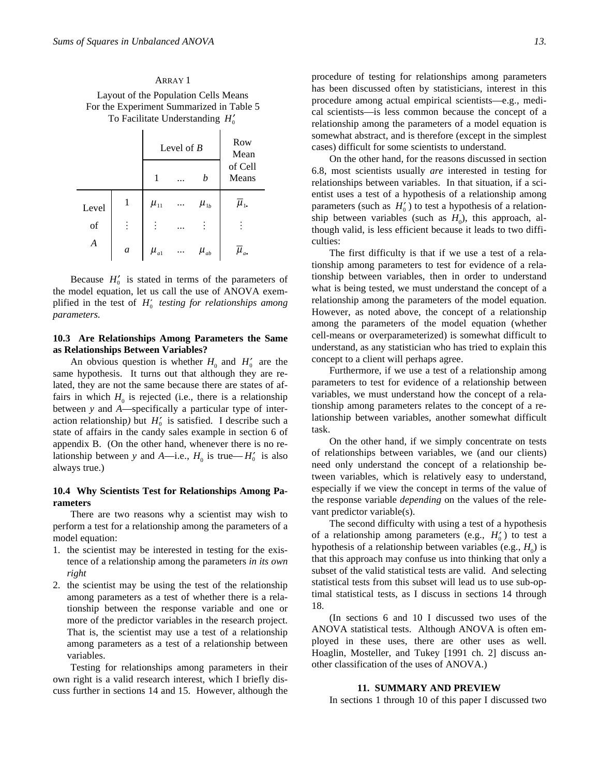ARRAY 1 Layout of the Population Cells Means For the Experiment Summarized in Table 5 To Facilitate Understanding  $H_0'$ 

|                  |                  |            | Level of $B$ | <b>Row</b><br>Mean            |                                  |  |
|------------------|------------------|------------|--------------|-------------------------------|----------------------------------|--|
|                  |                  |            |              | b                             | of Cell<br>Means                 |  |
| Level            | 1                | $\mu_{11}$ | .            | $\mu_{1b}$                    | $\overline{\mu}_\text{\tiny 1.}$ |  |
| of               | $\vdots$         |            |              | $\vdots$                      |                                  |  |
| $\boldsymbol{A}$ | $\boldsymbol{a}$ | $\mu_{a1}$ |              | $\mu_{\scriptscriptstyle ab}$ | $\bar{\mu}_{a}$                  |  |

Because  $H_0'$  is stated in terms of the parameters of the model equation, let us call the use of ANOVA exemplified in the test of  $H_0'$  testing for relationships among *parameters.*

# **10.3 Are Relationships Among Parameters the Same as Relationships Between Variables?**

An obvious question is whether  $H_0$  and  $H'_0$  are the same hypothesis. It turns out that although they are related, they are not the same because there are states of affairs in which  $H_0$  is rejected (i.e., there is a relationship between *y* and *A*—specifically a particular type of interaction relationship) but  $H_0'$  is satisfied. I describe such a state of affairs in the candy sales example in section 6 of appendix B. (On the other hand, whenever there is no relationship between *y* and *A*—i.e.,  $H_0$  is true— $H'_0$  is also always true.)

# **10.4 Why Scientists Test for Relationships Among Parameters**

There are two reasons why a scientist may wish to perform a test for a relationship among the parameters of a model equation:

- 1. the scientist may be interested in testing for the existence of a relationship among the parameters *in its own right*
- 2. the scientist may be using the test of the relationship among parameters as a test of whether there is a relationship between the response variable and one or more of the predictor variables in the research project. That is, the scientist may use a test of a relationship among parameters as a test of a relationship between variables.

Testing for relationships among parameters in their own right is a valid research interest, which I briefly discuss further in sections 14 and 15. However, although the

procedure of testing for relationships among parameters has been discussed often by statisticians, interest in this procedure among actual empirical scientists—e.g., medical scientists—is less common because the concept of a relationship among the parameters of a model equation is somewhat abstract, and is therefore (except in the simplest cases) difficult for some scientists to understand.

On the other hand, for the reasons discussed in section 6.8, most scientists usually *are* interested in testing for relationships between variables. In that situation, if a scientist uses a test of a hypothesis of a relationship among parameters (such as  $H_0'$ ) to test a hypothesis of a relationship between variables (such as  $H_0$ ), this approach, although valid, is less efficient because it leads to two difficulties:

The first difficulty is that if we use a test of a relationship among parameters to test for evidence of a relationship between variables, then in order to understand what is being tested, we must understand the concept of a relationship among the parameters of the model equation. However, as noted above, the concept of a relationship among the parameters of the model equation (whether cell-means or overparameterized) is somewhat difficult to understand, as any statistician who has tried to explain this concept to a client will perhaps agree.

Furthermore, if we use a test of a relationship among parameters to test for evidence of a relationship between variables, we must understand how the concept of a relationship among parameters relates to the concept of a relationship between variables, another somewhat difficult task.

On the other hand, if we simply concentrate on tests of relationships between variables, we (and our clients) need only understand the concept of a relationship between variables, which is relatively easy to understand, especially if we view the concept in terms of the value of the response variable *depending* on the values of the relevant predictor variable(s).

The second difficulty with using a test of a hypothesis of a relationship among parameters (e.g.,  $H_0'$ ) to test a hypothesis of a relationship between variables (e.g.,  $H_0$ ) is that this approach may confuse us into thinking that only a subset of the valid statistical tests are valid. And selecting statistical tests from this subset will lead us to use sub-optimal statistical tests, as I discuss in sections 14 through 18.

(In sections 6 and 10 I discussed two uses of the ANOVA statistical tests. Although ANOVA is often employed in these uses, there are other uses as well. Hoaglin, Mosteller, and Tukey [1991 ch. 2] discuss another classification of the uses of ANOVA.)

#### **11. SUMMARY AND PREVIEW**

In sections 1 through 10 of this paper I discussed two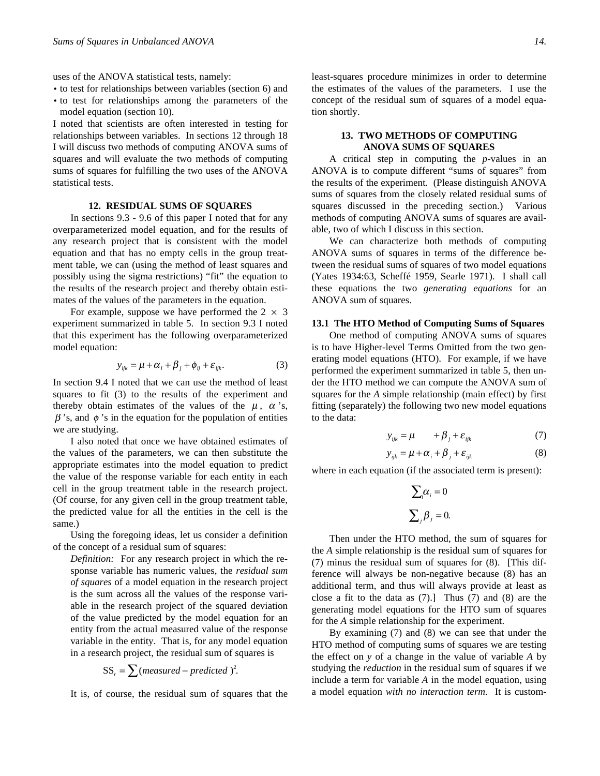uses of the ANOVA statistical tests, namely:

- to test for relationships between variables (section 6) and
- to test for relationships among the parameters of the model equation (section 10).

I noted that scientists are often interested in testing for relationships between variables. In sections 12 through 18 I will discuss two methods of computing ANOVA sums of squares and will evaluate the two methods of computing sums of squares for fulfilling the two uses of the ANOVA statistical tests.

#### **12. RESIDUAL SUMS OF SQUARES**

In sections 9.3 - 9.6 of this paper I noted that for any overparameterized model equation, and for the results of any research project that is consistent with the model equation and that has no empty cells in the group treatment table, we can (using the method of least squares and possibly using the sigma restrictions) "fit" the equation to the results of the research project and thereby obtain estimates of the values of the parameters in the equation.

For example, suppose we have performed the  $2 \times 3$ experiment summarized in table 5. In section 9.3 I noted that this experiment has the following overparameterized model equation:

$$
y_{ijk} = \mu + \alpha_i + \beta_j + \phi_{ij} + \varepsilon_{ijk}.
$$
 (3)

In section 9.4 I noted that we can use the method of least squares to fit (3) to the results of the experiment and thereby obtain estimates of the values of the  $\mu$ ,  $\alpha$ 's,  $\beta$ 's, and  $\phi$ 's in the equation for the population of entities we are studying.

I also noted that once we have obtained estimates of the values of the parameters, we can then substitute the appropriate estimates into the model equation to predict the value of the response variable for each entity in each cell in the group treatment table in the research project. (Of course, for any given cell in the group treatment table, the predicted value for all the entities in the cell is the same.)

Using the foregoing ideas, let us consider a definition of the concept of a residual sum of squares:

*Definition:* For any research project in which the response variable has numeric values, the *residual sum of squares* of a model equation in the research project is the sum across all the values of the response variable in the research project of the squared deviation of the value predicted by the model equation for an entity from the actual measured value of the response variable in the entity. That is, for any model equation in a research project, the residual sum of squares is

$$
SS_r = \sum (measured - predicted)^2.
$$

It is, of course, the residual sum of squares that the

least-squares procedure minimizes in order to determine the estimates of the values of the parameters. I use the concept of the residual sum of squares of a model equation shortly.

# **13. TWO METHODS OF COMPUTING ANOVA SUMS OF SQUARES**

A critical step in computing the *p*-values in an ANOVA is to compute different "sums of squares" from the results of the experiment. (Please distinguish ANOVA sums of squares from the closely related residual sums of squares discussed in the preceding section.) Various methods of computing ANOVA sums of squares are available, two of which I discuss in this section.

We can characterize both methods of computing ANOVA sums of squares in terms of the difference between the residual sums of squares of two model equations (Yates 1934:63, Scheffé 1959, Searle 1971). I shall call these equations the two *generating equations* for an ANOVA sum of squares.

# **13.1 The HTO Method of Computing Sums of Squares**

One method of computing ANOVA sums of squares is to have Higher-level Terms Omitted from the two generating model equations (HTO). For example, if we have performed the experiment summarized in table 5, then under the HTO method we can compute the ANOVA sum of squares for the *A* simple relationship (main effect) by first fitting (separately) the following two new model equations to the data:

$$
y_{ijk} = \mu + \beta_j + \varepsilon_{ijk} \tag{7}
$$

$$
y_{ijk} = \mu + \alpha_i + \beta_j + \varepsilon_{ijk} \tag{8}
$$

where in each equation (if the associated term is present):

$$
\sum_{i} \alpha_{i} = 0
$$

$$
\sum_{j} \beta_{j} = 0.
$$

Then under the HTO method, the sum of squares for the *A* simple relationship is the residual sum of squares for (7) minus the residual sum of squares for (8). [This difference will always be non-negative because (8) has an additional term, and thus will always provide at least as close a fit to the data as (7).] Thus (7) and (8) are the generating model equations for the HTO sum of squares for the *A* simple relationship for the experiment.

By examining (7) and (8) we can see that under the HTO method of computing sums of squares we are testing the effect on *y* of a change in the value of variable *A* by studying the *reduction* in the residual sum of squares if we include a term for variable *A* in the model equation, using a model equation *with no interaction term.* It is custom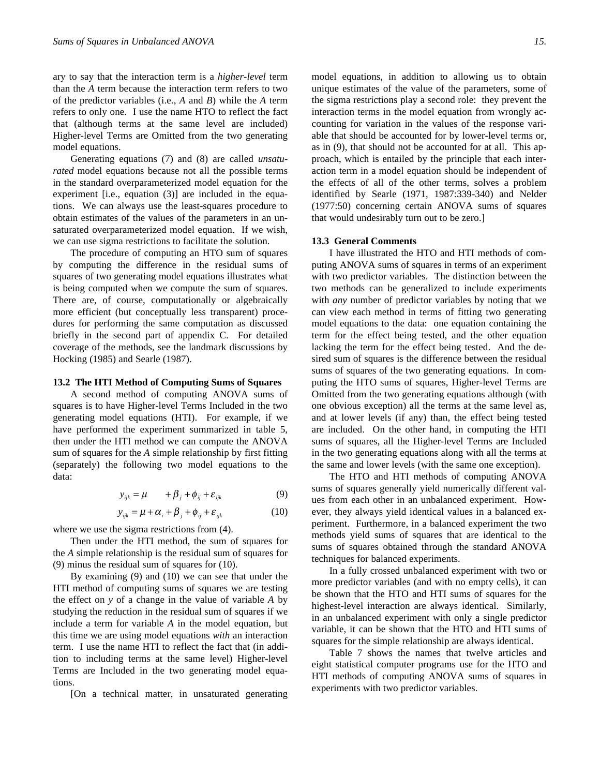ary to say that the interaction term is a *higher-level* term than the *A* term because the interaction term refers to two of the predictor variables (i.e., *A* and *B*) while the *A* term refers to only one. I use the name HTO to reflect the fact that (although terms at the same level are included) Higher-level Terms are Omitted from the two generating model equations.

Generating equations (7) and (8) are called *unsaturated* model equations because not all the possible terms in the standard overparameterized model equation for the experiment [i.e., equation (3)] are included in the equations. We can always use the least-squares procedure to obtain estimates of the values of the parameters in an unsaturated overparameterized model equation. If we wish, we can use sigma restrictions to facilitate the solution.

The procedure of computing an HTO sum of squares by computing the difference in the residual sums of squares of two generating model equations illustrates what is being computed when we compute the sum of squares. There are, of course, computationally or algebraically more efficient (but conceptually less transparent) procedures for performing the same computation as discussed briefly in the second part of appendix C. For detailed coverage of the methods, see the landmark discussions by Hocking (1985) and Searle (1987).

#### **13.2 The HTI Method of Computing Sums of Squares**

A second method of computing ANOVA sums of squares is to have Higher-level Terms Included in the two generating model equations (HTI). For example, if we have performed the experiment summarized in table 5, then under the HTI method we can compute the ANOVA sum of squares for the *A* simple relationship by first fitting (separately) the following two model equations to the data:

$$
y_{ijk} = \mu + \beta_j + \phi_{ij} + \varepsilon_{ijk}
$$
 (9)

$$
y_{ijk} = \mu + \alpha_i + \beta_j + \phi_{ij} + \varepsilon_{ijk}
$$
 (10)

where we use the sigma restrictions from (4).

Then under the HTI method, the sum of squares for the *A* simple relationship is the residual sum of squares for (9) minus the residual sum of squares for (10).

By examining (9) and (10) we can see that under the HTI method of computing sums of squares we are testing the effect on *y* of a change in the value of variable *A* by studying the reduction in the residual sum of squares if we include a term for variable *A* in the model equation, but this time we are using model equations *with* an interaction term. I use the name HTI to reflect the fact that (in addition to including terms at the same level) Higher-level Terms are Included in the two generating model equations.

[On a technical matter, in unsaturated generating

model equations, in addition to allowing us to obtain unique estimates of the value of the parameters, some of the sigma restrictions play a second role: they prevent the interaction terms in the model equation from wrongly accounting for variation in the values of the response variable that should be accounted for by lower-level terms or, as in (9), that should not be accounted for at all. This approach, which is entailed by the principle that each interaction term in a model equation should be independent of the effects of all of the other terms, solves a problem identified by Searle (1971, 1987:339-340) and Nelder (1977:50) concerning certain ANOVA sums of squares that would undesirably turn out to be zero.]

# **13.3 General Comments**

I have illustrated the HTO and HTI methods of computing ANOVA sums of squares in terms of an experiment with two predictor variables. The distinction between the two methods can be generalized to include experiments with *any* number of predictor variables by noting that we can view each method in terms of fitting two generating model equations to the data: one equation containing the term for the effect being tested, and the other equation lacking the term for the effect being tested. And the desired sum of squares is the difference between the residual sums of squares of the two generating equations. In computing the HTO sums of squares, Higher-level Terms are Omitted from the two generating equations although (with one obvious exception) all the terms at the same level as, and at lower levels (if any) than, the effect being tested are included. On the other hand, in computing the HTI sums of squares, all the Higher-level Terms are Included in the two generating equations along with all the terms at the same and lower levels (with the same one exception).

The HTO and HTI methods of computing ANOVA sums of squares generally yield numerically different values from each other in an unbalanced experiment. However, they always yield identical values in a balanced experiment. Furthermore, in a balanced experiment the two methods yield sums of squares that are identical to the sums of squares obtained through the standard ANOVA techniques for balanced experiments.

In a fully crossed unbalanced experiment with two or more predictor variables (and with no empty cells), it can be shown that the HTO and HTI sums of squares for the highest-level interaction are always identical. Similarly, in an unbalanced experiment with only a single predictor variable, it can be shown that the HTO and HTI sums of squares for the simple relationship are always identical.

Table 7 shows the names that twelve articles and eight statistical computer programs use for the HTO and HTI methods of computing ANOVA sums of squares in experiments with two predictor variables.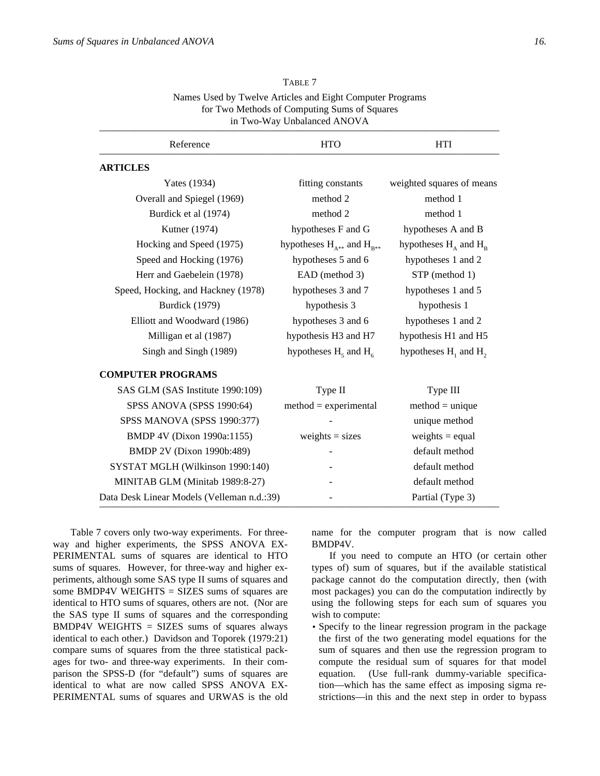| v<br>×                 |
|------------------------|
| ۰,<br>٠<br>$\sim$<br>œ |

| TADLE /                                                   |  |
|-----------------------------------------------------------|--|
| Names Used by Twelve Articles and Eight Computer Programs |  |
| for Two Methods of Computing Sums of Squares              |  |
| in Two-Way Unbalanced ANOVA                               |  |
|                                                           |  |

TABLE 7

# Reference HTO HTI Netering the set of  $\overline{m}$  **ARTICLES** Yates (1934) fitting constants weighted squares of means Overall and Spiegel (1969) method 2 method 1 Burdick et al (1974) method 2 method 1 Kutner (1974) hypotheses F and G hypotheses A and B Hocking and Speed (1975) hypotheses  $H_{\lambda**}$  and  $H_{\text{B**}}$ hypotheses  $H_{\alpha}$  and  $H_{\alpha}$ Speed and Hocking (1976) hypotheses 5 and 6 hypotheses 1 and 2 Herr and Gaebelein (1978) EAD (method 3) STP (method 1) Speed, Hocking, and Hackney (1978) hypotheses 3 and 7 hypotheses 1 and 5 Burdick (1979) hypothesis 3 hypothesis 1 Elliott and Woodward (1986) hypotheses 3 and 6 hypotheses 1 and 2 Milligan et al (1987) hypothesis H3 and H7 hypothesis H1 and H5 Singh and Singh (1989) hypotheses  $H_5$  and  $H_6$ hypotheses  $H_1$  and  $H_2$  **COMPUTER PROGRAMS** SAS GLM (SAS Institute 1990:109) Type II Type II SPSS ANOVA (SPSS 1990:64) method = experimental method = unique SPSS MANOVA (SPSS 1990:377) - unique method BMDP 4V (Dixon 1990a:1155) weights = sizes weights = equal BMDP 2V (Dixon 1990b:489) - contract the default method SYSTAT MGLH (Wilkinson 1990:140) - default method MINITAB GLM (Minitab 1989:8-27) - default method Data Desk Linear Models (Velleman n.d.:39) Fartial (Type 3)

Table 7 covers only two-way experiments. For threeway and higher experiments, the SPSS ANOVA EX-PERIMENTAL sums of squares are identical to HTO sums of squares. However, for three-way and higher experiments, although some SAS type II sums of squares and some BMDP4V WEIGHTS = SIZES sums of squares are identical to HTO sums of squares, others are not. (Nor are the SAS type II sums of squares and the corresponding BMDP4V WEIGHTS = SIZES sums of squares always identical to each other.) Davidson and Toporek (1979:21) compare sums of squares from the three statistical packages for two- and three-way experiments. In their comparison the SPSS-D (for "default") sums of squares are identical to what are now called SPSS ANOVA EX-PERIMENTAL sums of squares and URWAS is the old name for the computer program that is now called BMDP4V.

If you need to compute an HTO (or certain other types of) sum of squares, but if the available statistical package cannot do the computation directly, then (with most packages) you can do the computation indirectly by using the following steps for each sum of squares you wish to compute:

• Specify to the linear regression program in the package the first of the two generating model equations for the sum of squares and then use the regression program to compute the residual sum of squares for that model equation. (Use full-rank dummy-variable specification—which has the same effect as imposing sigma restrictions—in this and the next step in order to bypass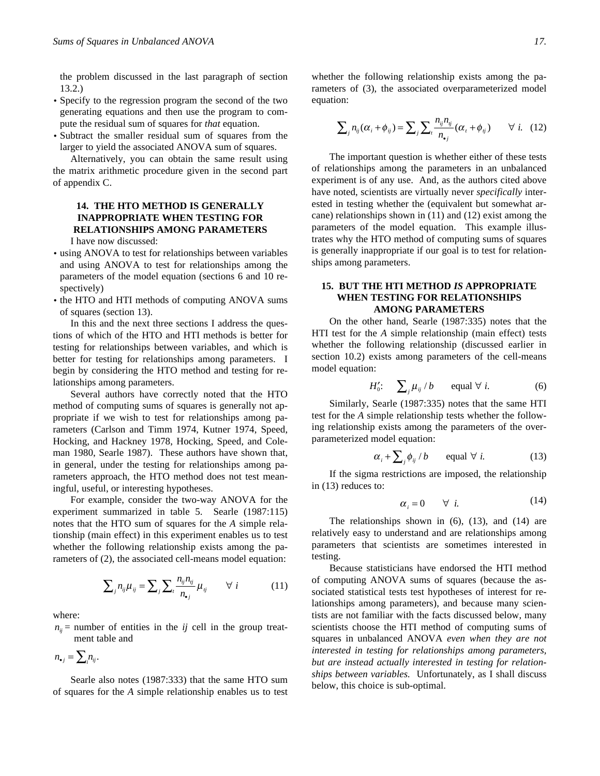the problem discussed in the last paragraph of section 13.2.)

- Specify to the regression program the second of the two generating equations and then use the program to compute the residual sum of squares for *that* equation.
- Subtract the smaller residual sum of squares from the larger to yield the associated ANOVA sum of squares.

Alternatively, you can obtain the same result using the matrix arithmetic procedure given in the second part of appendix C.

# **14. THE HTO METHOD IS GENERALLY INAPPROPRIATE WHEN TESTING FOR RELATIONSHIPS AMONG PARAMETERS**

I have now discussed:

- using ANOVA to test for relationships between variables and using ANOVA to test for relationships among the parameters of the model equation (sections 6 and 10 respectively)
- the HTO and HTI methods of computing ANOVA sums of squares (section 13).

In this and the next three sections I address the questions of which of the HTO and HTI methods is better for testing for relationships between variables, and which is better for testing for relationships among parameters. I begin by considering the HTO method and testing for relationships among parameters.

Several authors have correctly noted that the HTO method of computing sums of squares is generally not appropriate if we wish to test for relationships among parameters (Carlson and Timm 1974, Kutner 1974, Speed, Hocking, and Hackney 1978, Hocking, Speed, and Coleman 1980, Searle 1987). These authors have shown that, in general, under the testing for relationships among parameters approach, the HTO method does not test meaningful, useful, or interesting hypotheses.

For example, consider the two-way ANOVA for the experiment summarized in table 5. Searle (1987:115) notes that the HTO sum of squares for the *A* simple relationship (main effect) in this experiment enables us to test whether the following relationship exists among the parameters of (2), the associated cell-means model equation:

$$
\sum_{j} n_{ij} \mu_{ij} = \sum_{j} \sum_{i} \frac{n_{ij} n_{ij}}{n_{ij}} \mu_{ij} \qquad \forall i \qquad (11)
$$

where:

 $n_{ii}$  = number of entities in the *ij* cell in the group treatment table and

$$
n_{\bullet j} = \sum_i n_{ij}.
$$

Searle also notes (1987:333) that the same HTO sum of squares for the *A* simple relationship enables us to test

whether the following relationship exists among the parameters of (3), the associated overparameterized model equation:

$$
\sum_{j} n_{ij} (\alpha_i + \phi_{ij}) = \sum_{j} \sum_{i} \frac{n_{ij} n_{ij}}{n_{ij}} (\alpha_i + \phi_{ij}) \qquad \forall i. \quad (12)
$$

The important question is whether either of these tests of relationships among the parameters in an unbalanced experiment is of any use. And, as the authors cited above have noted, scientists are virtually never *specifically* interested in testing whether the (equivalent but somewhat arcane) relationships shown in (11) and (12) exist among the parameters of the model equation. This example illustrates why the HTO method of computing sums of squares is generally inappropriate if our goal is to test for relationships among parameters.

# **15. BUT THE HTI METHOD** *IS* **APPROPRIATE WHEN TESTING FOR RELATIONSHIPS AMONG PARAMETERS**

On the other hand, Searle (1987:335) notes that the HTI test for the *A* simple relationship (main effect) tests whether the following relationship (discussed earlier in section 10.2) exists among parameters of the cell-means model equation:

$$
H'_0: \quad \sum_j \mu_{ij} / b \qquad \text{equal } \forall \ i. \tag{6}
$$

Similarly, Searle (1987:335) notes that the same HTI test for the *A* simple relationship tests whether the following relationship exists among the parameters of the overparameterized model equation:

$$
\alpha_i + \sum_j \phi_{ij} / b \qquad \text{equal } \forall i. \tag{13}
$$

If the sigma restrictions are imposed, the relationship in (13) reduces to:

$$
\alpha_i = 0 \qquad \forall \quad i. \tag{14}
$$

The relationships shown in (6), (13), and (14) are relatively easy to understand and are relationships among parameters that scientists are sometimes interested in testing.

Because statisticians have endorsed the HTI method of computing ANOVA sums of squares (because the associated statistical tests test hypotheses of interest for relationships among parameters), and because many scientists are not familiar with the facts discussed below, many scientists choose the HTI method of computing sums of squares in unbalanced ANOVA *even when they are not interested in testing for relationships among parameters, but are instead actually interested in testing for relationships between variables.* Unfortunately, as I shall discuss below, this choice is sub-optimal.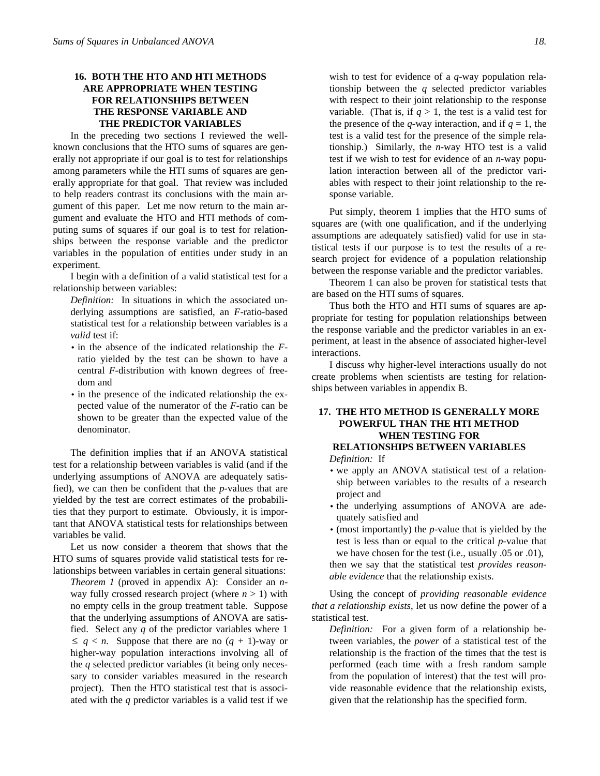# **16. BOTH THE HTO AND HTI METHODS ARE APPROPRIATE WHEN TESTING FOR RELATIONSHIPS BETWEEN THE RESPONSE VARIABLE AND THE PREDICTOR VARIABLES**

In the preceding two sections I reviewed the wellknown conclusions that the HTO sums of squares are generally not appropriate if our goal is to test for relationships among parameters while the HTI sums of squares are generally appropriate for that goal. That review was included to help readers contrast its conclusions with the main argument of this paper. Let me now return to the main argument and evaluate the HTO and HTI methods of computing sums of squares if our goal is to test for relationships between the response variable and the predictor variables in the population of entities under study in an experiment.

I begin with a definition of a valid statistical test for a relationship between variables:

*Definition:* In situations in which the associated underlying assumptions are satisfied, an *F*-ratio-based statistical test for a relationship between variables is a *valid* test if:

- in the absence of the indicated relationship the *F*ratio yielded by the test can be shown to have a central *F*-distribution with known degrees of freedom and
- in the presence of the indicated relationship the expected value of the numerator of the *F*-ratio can be shown to be greater than the expected value of the denominator.

The definition implies that if an ANOVA statistical test for a relationship between variables is valid (and if the underlying assumptions of ANOVA are adequately satisfied), we can then be confident that the *p*-values that are yielded by the test are correct estimates of the probabilities that they purport to estimate. Obviously, it is important that ANOVA statistical tests for relationships between variables be valid.

Let us now consider a theorem that shows that the HTO sums of squares provide valid statistical tests for relationships between variables in certain general situations:

*Theorem 1* (proved in appendix A): Consider an *n*way fully crossed research project (where  $n > 1$ ) with no empty cells in the group treatment table. Suppose that the underlying assumptions of ANOVA are satisfied. Select any *q* of the predictor variables where 1  $\leq q < n$ . Suppose that there are no  $(q + 1)$ -way or higher-way population interactions involving all of the *q* selected predictor variables (it being only necessary to consider variables measured in the research project). Then the HTO statistical test that is associated with the *q* predictor variables is a valid test if we

wish to test for evidence of a *q*-way population relationship between the *q* selected predictor variables with respect to their joint relationship to the response variable. (That is, if  $q > 1$ , the test is a valid test for the presence of the *q*-way interaction, and if  $q = 1$ , the test is a valid test for the presence of the simple relationship.) Similarly, the *n*-way HTO test is a valid test if we wish to test for evidence of an *n*-way population interaction between all of the predictor variables with respect to their joint relationship to the response variable.

Put simply, theorem 1 implies that the HTO sums of squares are (with one qualification, and if the underlying assumptions are adequately satisfied) valid for use in statistical tests if our purpose is to test the results of a research project for evidence of a population relationship between the response variable and the predictor variables.

Theorem 1 can also be proven for statistical tests that are based on the HTI sums of squares.

Thus both the HTO and HTI sums of squares are appropriate for testing for population relationships between the response variable and the predictor variables in an experiment, at least in the absence of associated higher-level interactions.

I discuss why higher-level interactions usually do not create problems when scientists are testing for relationships between variables in appendix B.

# **17. THE HTO METHOD IS GENERALLY MORE POWERFUL THAN THE HTI METHOD WHEN TESTING FOR RELATIONSHIPS BETWEEN VARIABLES**

*Definition:* If

- we apply an ANOVA statistical test of a relationship between variables to the results of a research project and
- the underlying assumptions of ANOVA are adequately satisfied and
- (most importantly) the *p*-value that is yielded by the test is less than or equal to the critical *p*-value that we have chosen for the test (i.e., usually .05 or .01), then we say that the statistical test *provides reasonable evidence* that the relationship exists.

Using the concept of *providing reasonable evidence that a relationship exists*, let us now define the power of a statistical test.

*Definition:* For a given form of a relationship between variables, the *power* of a statistical test of the relationship is the fraction of the times that the test is performed (each time with a fresh random sample from the population of interest) that the test will provide reasonable evidence that the relationship exists, given that the relationship has the specified form.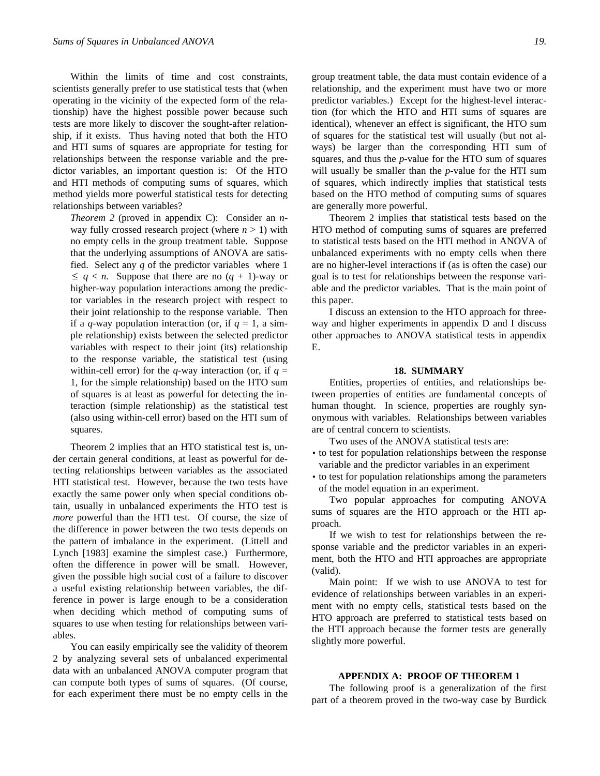Within the limits of time and cost constraints, scientists generally prefer to use statistical tests that (when operating in the vicinity of the expected form of the relationship) have the highest possible power because such tests are more likely to discover the sought-after relationship, if it exists. Thus having noted that both the HTO and HTI sums of squares are appropriate for testing for relationships between the response variable and the predictor variables, an important question is: Of the HTO and HTI methods of computing sums of squares, which method yields more powerful statistical tests for detecting relationships between variables?

*Theorem 2* (proved in appendix C): Consider an *n*way fully crossed research project (where  $n > 1$ ) with no empty cells in the group treatment table. Suppose that the underlying assumptions of ANOVA are satisfied. Select any *q* of the predictor variables where 1  $\leq q < n$ . Suppose that there are no  $(q + 1)$ -way or higher-way population interactions among the predictor variables in the research project with respect to their joint relationship to the response variable. Then if a *q*-way population interaction (or, if  $q = 1$ , a simple relationship) exists between the selected predictor variables with respect to their joint (its) relationship to the response variable, the statistical test (using within-cell error) for the *q*-way interaction (or, if  $q =$ 1, for the simple relationship) based on the HTO sum of squares is at least as powerful for detecting the interaction (simple relationship) as the statistical test (also using within-cell error) based on the HTI sum of squares.

Theorem 2 implies that an HTO statistical test is, under certain general conditions, at least as powerful for detecting relationships between variables as the associated HTI statistical test. However, because the two tests have exactly the same power only when special conditions obtain, usually in unbalanced experiments the HTO test is *more* powerful than the HTI test. Of course, the size of the difference in power between the two tests depends on the pattern of imbalance in the experiment. (Littell and Lynch [1983] examine the simplest case.) Furthermore, often the difference in power will be small. However, given the possible high social cost of a failure to discover a useful existing relationship between variables, the difference in power is large enough to be a consideration when deciding which method of computing sums of squares to use when testing for relationships between variables.

You can easily empirically see the validity of theorem 2 by analyzing several sets of unbalanced experimental data with an unbalanced ANOVA computer program that can compute both types of sums of squares. (Of course, for each experiment there must be no empty cells in the

group treatment table, the data must contain evidence of a relationship, and the experiment must have two or more predictor variables.) Except for the highest-level interaction (for which the HTO and HTI sums of squares are identical), whenever an effect is significant, the HTO sum of squares for the statistical test will usually (but not always) be larger than the corresponding HTI sum of squares, and thus the *p*-value for the HTO sum of squares will usually be smaller than the *p*-value for the HTI sum of squares, which indirectly implies that statistical tests based on the HTO method of computing sums of squares are generally more powerful.

Theorem 2 implies that statistical tests based on the HTO method of computing sums of squares are preferred to statistical tests based on the HTI method in ANOVA of unbalanced experiments with no empty cells when there are no higher-level interactions if (as is often the case) our goal is to test for relationships between the response variable and the predictor variables. That is the main point of this paper.

I discuss an extension to the HTO approach for threeway and higher experiments in appendix D and I discuss other approaches to ANOVA statistical tests in appendix E.

## **18. SUMMARY**

Entities, properties of entities, and relationships between properties of entities are fundamental concepts of human thought. In science, properties are roughly synonymous with variables. Relationships between variables are of central concern to scientists.

Two uses of the ANOVA statistical tests are:

- to test for population relationships between the response variable and the predictor variables in an experiment
- to test for population relationships among the parameters of the model equation in an experiment.

Two popular approaches for computing ANOVA sums of squares are the HTO approach or the HTI approach.

If we wish to test for relationships between the response variable and the predictor variables in an experiment, both the HTO and HTI approaches are appropriate (valid).

Main point: If we wish to use ANOVA to test for evidence of relationships between variables in an experiment with no empty cells, statistical tests based on the HTO approach are preferred to statistical tests based on the HTI approach because the former tests are generally slightly more powerful.

# **APPENDIX A: PROOF OF THEOREM 1**

The following proof is a generalization of the first part of a theorem proved in the two-way case by Burdick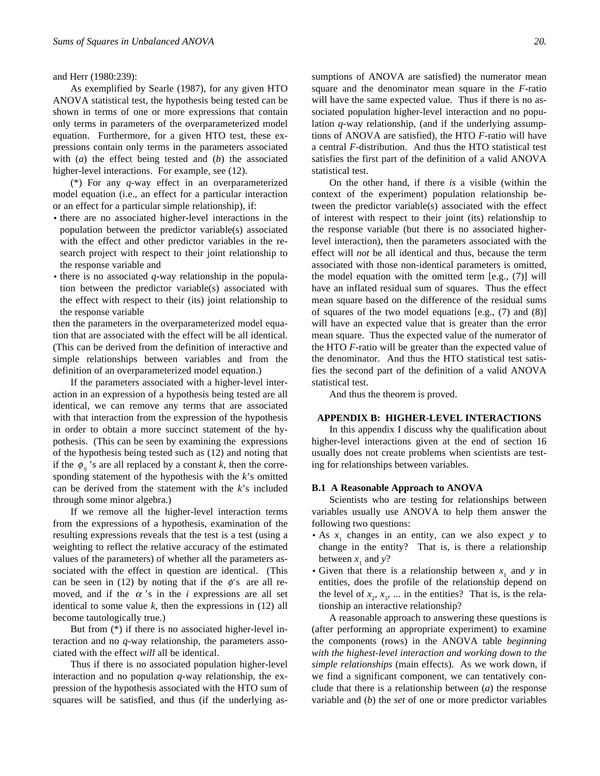and Herr (1980:239):

As exemplified by Searle (1987), for any given HTO ANOVA statistical test, the hypothesis being tested can be shown in terms of one or more expressions that contain only terms in parameters of the overparameterized model equation. Furthermore, for a given HTO test, these expressions contain only terms in the parameters associated with (*a*) the effect being tested and (*b*) the associated higher-level interactions. For example, see  $(12)$ .

(\*) For any *q*-way effect in an overparameterized model equation (i.e., an effect for a particular interaction or an effect for a particular simple relationship), if:

- there are no associated higher-level interactions in the population between the predictor variable(s) associated with the effect and other predictor variables in the research project with respect to their joint relationship to the response variable and
- there is no associated *q*-way relationship in the population between the predictor variable(s) associated with the effect with respect to their (its) joint relationship to the response variable

then the parameters in the overparameterized model equation that are associated with the effect will be all identical. (This can be derived from the definition of interactive and simple relationships between variables and from the definition of an overparameterized model equation.)

If the parameters associated with a higher-level interaction in an expression of a hypothesis being tested are all identical, we can remove any terms that are associated with that interaction from the expression of the hypothesis in order to obtain a more succinct statement of the hypothesis. (This can be seen by examining the expressions of the hypothesis being tested such as (12) and noting that if the  $\phi$ <sub>*ii*</sub>'s are all replaced by a constant *k*, then the corresponding statement of the hypothesis with the *k*'s omitted can be derived from the statement with the *k*'s included through some minor algebra.)

If we remove all the higher-level interaction terms from the expressions of a hypothesis, examination of the resulting expressions reveals that the test is a test (using a weighting to reflect the relative accuracy of the estimated values of the parameters) of whether all the parameters associated with the effect in question are identical. (This can be seen in (12) by noting that if the  $\phi$ 's are all removed, and if the  $\alpha$ 's in the *i* expressions are all set identical to some value  $k$ , then the expressions in  $(12)$  all become tautologically true.)

But from (\*) if there is no associated higher-level interaction and no *q*-way relationship, the parameters associated with the effect *will* all be identical.

Thus if there is no associated population higher-level interaction and no population *q*-way relationship, the expression of the hypothesis associated with the HTO sum of squares will be satisfied, and thus (if the underlying assumptions of ANOVA are satisfied) the numerator mean square and the denominator mean square in the *F*-ratio will have the same expected value. Thus if there is no associated population higher-level interaction and no population *q*-way relationship, (and if the underlying assumptions of ANOVA are satisfied), the HTO *F*-ratio will have a central *F*-distribution. And thus the HTO statistical test satisfies the first part of the definition of a valid ANOVA statistical test.

On the other hand, if there *is* a visible (within the context of the experiment) population relationship between the predictor variable(s) associated with the effect of interest with respect to their joint (its) relationship to the response variable (but there is no associated higherlevel interaction), then the parameters associated with the effect will *not* be all identical and thus, because the term associated with those non-identical parameters is omitted, the model equation with the omitted term [e.g., (7)] will have an inflated residual sum of squares. Thus the effect mean square based on the difference of the residual sums of squares of the two model equations [e.g., (7) and (8)] will have an expected value that is greater than the error mean square. Thus the expected value of the numerator of the HTO *F*-ratio will be greater than the expected value of the denominator. And thus the HTO statistical test satisfies the second part of the definition of a valid ANOVA statistical test.

And thus the theorem is proved.

## **APPENDIX B: HIGHER-LEVEL INTERACTIONS**

In this appendix I discuss why the qualification about higher-level interactions given at the end of section 16 usually does not create problems when scientists are testing for relationships between variables.

#### **B.1 A Reasonable Approach to ANOVA**

Scientists who are testing for relationships between variables usually use ANOVA to help them answer the following two questions:

- As  $x_1$  changes in an entity, can we also expect  $y$  to change in the entity? That is, is there a relationship between  $x_1$  and  $y$ ?
- Given that there is a relationship between  $x_1$  and  $y$  in entities, does the profile of the relationship depend on the level of  $x_2, x_3, \ldots$  in the entities? That is, is the relationship an interactive relationship?

A reasonable approach to answering these questions is (after performing an appropriate experiment) to examine the components (rows) in the ANOVA table *beginning with the highest-level interaction and working down to the simple relationships* (main effects). As we work down, if we find a significant component, we can tentatively conclude that there is a relationship between (*a*) the response variable and (*b*) the *set* of one or more predictor variables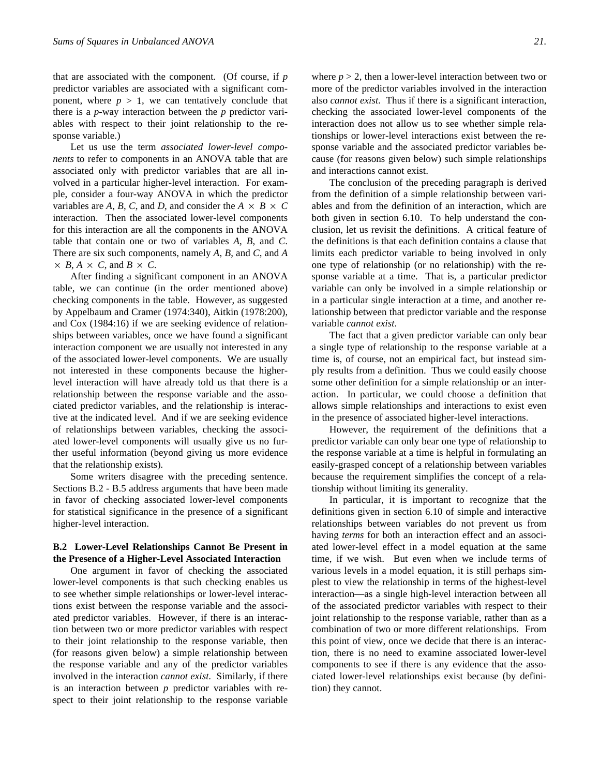that are associated with the component. (Of course, if *p* predictor variables are associated with a significant component, where  $p > 1$ , we can tentatively conclude that there is a *p*-way interaction between the *p* predictor variables with respect to their joint relationship to the response variable.)

Let us use the term *associated lower-level components* to refer to components in an ANOVA table that are associated only with predictor variables that are all involved in a particular higher-level interaction. For example, consider a four-way ANOVA in which the predictor variables are *A*, *B*, *C*, and *D*, and consider the  $A \times B \times C$ interaction. Then the associated lower-level components for this interaction are all the components in the ANOVA table that contain one or two of variables *A*, *B*, and *C*. There are six such components, namely *A*, *B*, and *C*, and *A*  $\times$  *B*, *A*  $\times$  *C*, and *B*  $\times$  *C*.

After finding a significant component in an ANOVA table, we can continue (in the order mentioned above) checking components in the table. However, as suggested by Appelbaum and Cramer (1974:340), Aitkin (1978:200), and Cox (1984:16) if we are seeking evidence of relationships between variables, once we have found a significant interaction component we are usually not interested in any of the associated lower-level components. We are usually not interested in these components because the higherlevel interaction will have already told us that there is a relationship between the response variable and the associated predictor variables, and the relationship is interactive at the indicated level. And if we are seeking evidence of relationships between variables, checking the associated lower-level components will usually give us no further useful information (beyond giving us more evidence that the relationship exists)*.*

Some writers disagree with the preceding sentence. Sections B.2 - B.5 address arguments that have been made in favor of checking associated lower-level components for statistical significance in the presence of a significant higher-level interaction.

# **B.2 Lower-Level Relationships Cannot Be Present in the Presence of a Higher-Level Associated Interaction**

One argument in favor of checking the associated lower-level components is that such checking enables us to see whether simple relationships or lower-level interactions exist between the response variable and the associated predictor variables. However, if there is an interaction between two or more predictor variables with respect to their joint relationship to the response variable, then (for reasons given below) a simple relationship between the response variable and any of the predictor variables involved in the interaction *cannot exist.* Similarly, if there is an interaction between *p* predictor variables with respect to their joint relationship to the response variable

where  $p > 2$ , then a lower-level interaction between two or more of the predictor variables involved in the interaction also *cannot exist.* Thus if there is a significant interaction, checking the associated lower-level components of the interaction does not allow us to see whether simple relationships or lower-level interactions exist between the response variable and the associated predictor variables because (for reasons given below) such simple relationships and interactions cannot exist.

The conclusion of the preceding paragraph is derived from the definition of a simple relationship between variables and from the definition of an interaction, which are both given in section 6.10. To help understand the conclusion, let us revisit the definitions. A critical feature of the definitions is that each definition contains a clause that limits each predictor variable to being involved in only one type of relationship (or no relationship) with the response variable at a time. That is, a particular predictor variable can only be involved in a simple relationship or in a particular single interaction at a time, and another relationship between that predictor variable and the response variable *cannot exist*.

The fact that a given predictor variable can only bear a single type of relationship to the response variable at a time is, of course, not an empirical fact, but instead simply results from a definition. Thus we could easily choose some other definition for a simple relationship or an interaction. In particular, we could choose a definition that allows simple relationships and interactions to exist even in the presence of associated higher-level interactions.

However, the requirement of the definitions that a predictor variable can only bear one type of relationship to the response variable at a time is helpful in formulating an easily-grasped concept of a relationship between variables because the requirement simplifies the concept of a relationship without limiting its generality.

In particular, it is important to recognize that the definitions given in section 6.10 of simple and interactive relationships between variables do not prevent us from having *terms* for both an interaction effect and an associated lower-level effect in a model equation at the same time, if we wish. But even when we include terms of various levels in a model equation, it is still perhaps simplest to view the relationship in terms of the highest-level interaction—as a single high-level interaction between all of the associated predictor variables with respect to their joint relationship to the response variable, rather than as a combination of two or more different relationships. From this point of view, once we decide that there is an interaction, there is no need to examine associated lower-level components to see if there is any evidence that the associated lower-level relationships exist because (by definition) they cannot.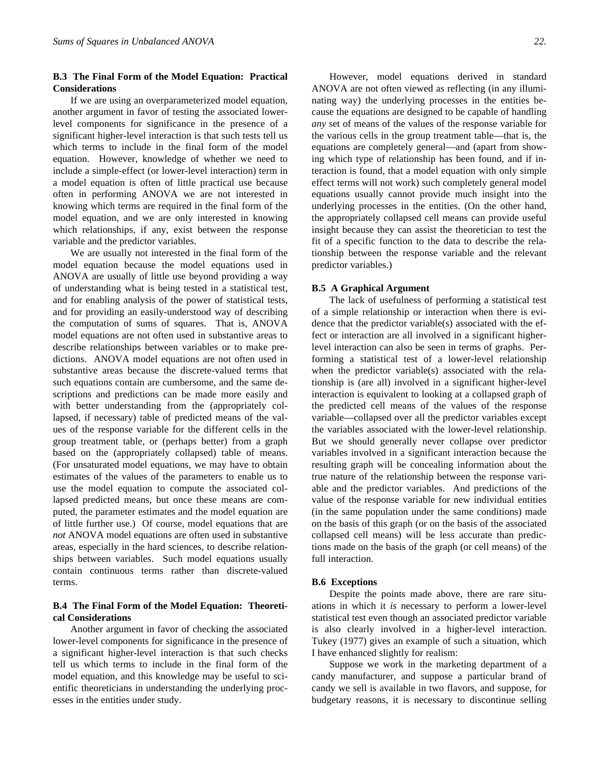# **B.3 The Final Form of the Model Equation: Practical Considerations**

If we are using an overparameterized model equation, another argument in favor of testing the associated lowerlevel components for significance in the presence of a significant higher-level interaction is that such tests tell us which terms to include in the final form of the model equation. However, knowledge of whether we need to include a simple-effect (or lower-level interaction) term in a model equation is often of little practical use because often in performing ANOVA we are not interested in knowing which terms are required in the final form of the model equation, and we are only interested in knowing which relationships, if any, exist between the response variable and the predictor variables.

We are usually not interested in the final form of the model equation because the model equations used in ANOVA are usually of little use beyond providing a way of understanding what is being tested in a statistical test, and for enabling analysis of the power of statistical tests, and for providing an easily-understood way of describing the computation of sums of squares. That is, ANOVA model equations are not often used in substantive areas to describe relationships between variables or to make predictions. ANOVA model equations are not often used in substantive areas because the discrete-valued terms that such equations contain are cumbersome, and the same descriptions and predictions can be made more easily and with better understanding from the (appropriately collapsed, if necessary) table of predicted means of the values of the response variable for the different cells in the group treatment table, or (perhaps better) from a graph based on the (appropriately collapsed) table of means. (For unsaturated model equations, we may have to obtain estimates of the values of the parameters to enable us to use the model equation to compute the associated collapsed predicted means, but once these means are computed, the parameter estimates and the model equation are of little further use.) Of course, model equations that are *not* ANOVA model equations are often used in substantive areas, especially in the hard sciences, to describe relationships between variables. Such model equations usually contain continuous terms rather than discrete-valued terms.

# **B.4 The Final Form of the Model Equation: Theoretical Considerations**

Another argument in favor of checking the associated lower-level components for significance in the presence of a significant higher-level interaction is that such checks tell us which terms to include in the final form of the model equation, and this knowledge may be useful to scientific theoreticians in understanding the underlying processes in the entities under study.

However, model equations derived in standard ANOVA are not often viewed as reflecting (in any illuminating way) the underlying processes in the entities because the equations are designed to be capable of handling *any* set of means of the values of the response variable for the various cells in the group treatment table—that is, the equations are completely general—and (apart from showing which type of relationship has been found, and if interaction is found, that a model equation with only simple effect terms will not work) such completely general model equations usually cannot provide much insight into the underlying processes in the entities. (On the other hand, the appropriately collapsed cell means can provide useful insight because they can assist the theoretician to test the fit of a specific function to the data to describe the relationship between the response variable and the relevant predictor variables.)

#### **B.5 A Graphical Argument**

The lack of usefulness of performing a statistical test of a simple relationship or interaction when there is evidence that the predictor variable(s) associated with the effect or interaction are all involved in a significant higherlevel interaction can also be seen in terms of graphs. Performing a statistical test of a lower-level relationship when the predictor variable(s) associated with the relationship is (are all) involved in a significant higher-level interaction is equivalent to looking at a collapsed graph of the predicted cell means of the values of the response variable—collapsed over all the predictor variables except the variables associated with the lower-level relationship. But we should generally never collapse over predictor variables involved in a significant interaction because the resulting graph will be concealing information about the true nature of the relationship between the response variable and the predictor variables. And predictions of the value of the response variable for new individual entities (in the same population under the same conditions) made on the basis of this graph (or on the basis of the associated collapsed cell means) will be less accurate than predictions made on the basis of the graph (or cell means) of the full interaction.

## **B.6 Exceptions**

Despite the points made above, there are rare situations in which it *is* necessary to perform a lower-level statistical test even though an associated predictor variable is also clearly involved in a higher-level interaction. Tukey (1977) gives an example of such a situation, which I have enhanced slightly for realism:

Suppose we work in the marketing department of a candy manufacturer, and suppose a particular brand of candy we sell is available in two flavors, and suppose, for budgetary reasons, it is necessary to discontinue selling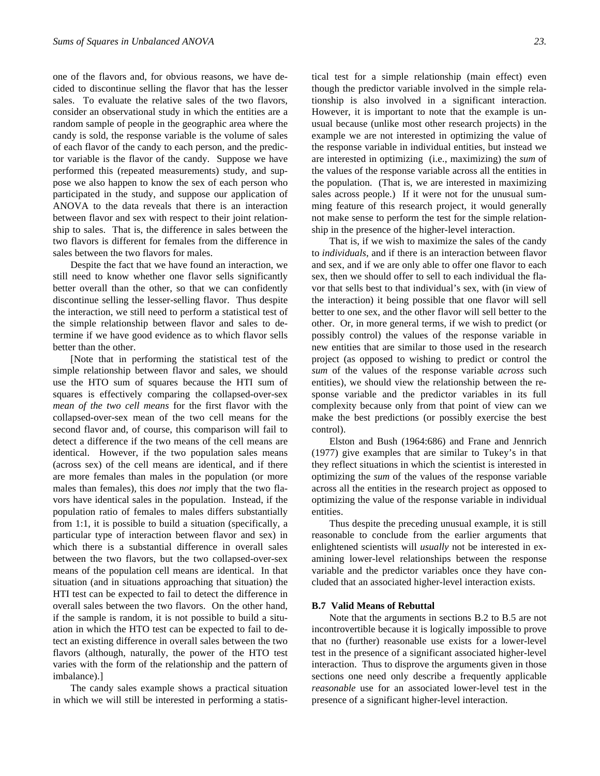one of the flavors and, for obvious reasons, we have decided to discontinue selling the flavor that has the lesser sales. To evaluate the relative sales of the two flavors, consider an observational study in which the entities are a random sample of people in the geographic area where the candy is sold, the response variable is the volume of sales of each flavor of the candy to each person, and the predictor variable is the flavor of the candy. Suppose we have performed this (repeated measurements) study, and suppose we also happen to know the sex of each person who participated in the study, and suppose our application of ANOVA to the data reveals that there is an interaction between flavor and sex with respect to their joint relationship to sales. That is, the difference in sales between the two flavors is different for females from the difference in sales between the two flavors for males.

Despite the fact that we have found an interaction, we still need to know whether one flavor sells significantly better overall than the other, so that we can confidently discontinue selling the lesser-selling flavor. Thus despite the interaction, we still need to perform a statistical test of the simple relationship between flavor and sales to determine if we have good evidence as to which flavor sells better than the other.

[Note that in performing the statistical test of the simple relationship between flavor and sales, we should use the HTO sum of squares because the HTI sum of squares is effectively comparing the collapsed-over-sex *mean of the two cell means* for the first flavor with the collapsed-over-sex mean of the two cell means for the second flavor and, of course, this comparison will fail to detect a difference if the two means of the cell means are identical. However, if the two population sales means (across sex) of the cell means are identical, and if there are more females than males in the population (or more males than females), this does *not* imply that the two flavors have identical sales in the population. Instead, if the population ratio of females to males differs substantially from 1:1, it is possible to build a situation (specifically, a particular type of interaction between flavor and sex) in which there is a substantial difference in overall sales between the two flavors, but the two collapsed-over-sex means of the population cell means are identical. In that situation (and in situations approaching that situation) the HTI test can be expected to fail to detect the difference in overall sales between the two flavors. On the other hand, if the sample is random, it is not possible to build a situation in which the HTO test can be expected to fail to detect an existing difference in overall sales between the two flavors (although, naturally, the power of the HTO test varies with the form of the relationship and the pattern of imbalance).]

The candy sales example shows a practical situation in which we will still be interested in performing a statis-

tical test for a simple relationship (main effect) even though the predictor variable involved in the simple relationship is also involved in a significant interaction. However, it is important to note that the example is unusual because (unlike most other research projects) in the example we are not interested in optimizing the value of the response variable in individual entities, but instead we are interested in optimizing (i.e., maximizing) the *sum* of the values of the response variable across all the entities in the population. (That is, we are interested in maximizing sales across people.) If it were not for the unusual summing feature of this research project, it would generally not make sense to perform the test for the simple relationship in the presence of the higher-level interaction.

That is, if we wish to maximize the sales of the candy to *individuals*, and if there is an interaction between flavor and sex, and if we are only able to offer one flavor to each sex, then we should offer to sell to each individual the flavor that sells best to that individual's sex, with (in view of the interaction) it being possible that one flavor will sell better to one sex, and the other flavor will sell better to the other. Or, in more general terms, if we wish to predict (or possibly control) the values of the response variable in new entities that are similar to those used in the research project (as opposed to wishing to predict or control the *sum* of the values of the response variable *across* such entities), we should view the relationship between the response variable and the predictor variables in its full complexity because only from that point of view can we make the best predictions (or possibly exercise the best control).

Elston and Bush (1964:686) and Frane and Jennrich (1977) give examples that are similar to Tukey's in that they reflect situations in which the scientist is interested in optimizing the *sum* of the values of the response variable across all the entities in the research project as opposed to optimizing the value of the response variable in individual entities.

Thus despite the preceding unusual example, it is still reasonable to conclude from the earlier arguments that enlightened scientists will *usually* not be interested in examining lower-level relationships between the response variable and the predictor variables once they have concluded that an associated higher-level interaction exists.

#### **B.7 Valid Means of Rebuttal**

Note that the arguments in sections B.2 to B.5 are not incontrovertible because it is logically impossible to prove that no (further) reasonable use exists for a lower-level test in the presence of a significant associated higher-level interaction. Thus to disprove the arguments given in those sections one need only describe a frequently applicable *reasonable* use for an associated lower-level test in the presence of a significant higher-level interaction.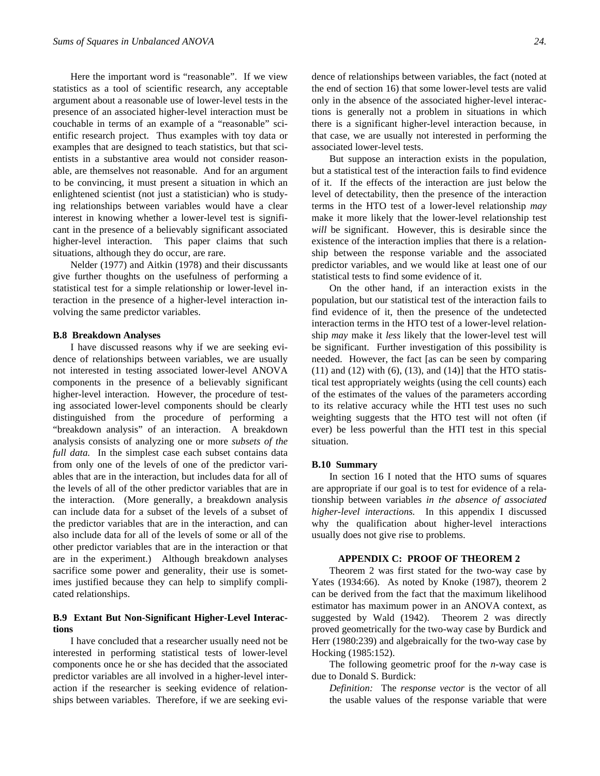Here the important word is "reasonable". If we view statistics as a tool of scientific research, any acceptable argument about a reasonable use of lower-level tests in the presence of an associated higher-level interaction must be couchable in terms of an example of a "reasonable" scientific research project. Thus examples with toy data or examples that are designed to teach statistics, but that scientists in a substantive area would not consider reasonable, are themselves not reasonable. And for an argument to be convincing, it must present a situation in which an enlightened scientist (not just a statistician) who is studying relationships between variables would have a clear interest in knowing whether a lower-level test is significant in the presence of a believably significant associated higher-level interaction. This paper claims that such situations, although they do occur, are rare.

Nelder (1977) and Aitkin (1978) and their discussants give further thoughts on the usefulness of performing a statistical test for a simple relationship or lower-level interaction in the presence of a higher-level interaction involving the same predictor variables.

#### **B.8 Breakdown Analyses**

I have discussed reasons why if we are seeking evidence of relationships between variables, we are usually not interested in testing associated lower-level ANOVA components in the presence of a believably significant higher-level interaction. However, the procedure of testing associated lower-level components should be clearly distinguished from the procedure of performing a "breakdown analysis" of an interaction. A breakdown analysis consists of analyzing one or more *subsets of the full data.* In the simplest case each subset contains data from only one of the levels of one of the predictor variables that are in the interaction, but includes data for all of the levels of all of the other predictor variables that are in the interaction. (More generally, a breakdown analysis can include data for a subset of the levels of a subset of the predictor variables that are in the interaction, and can also include data for all of the levels of some or all of the other predictor variables that are in the interaction or that are in the experiment.) Although breakdown analyses sacrifice some power and generality, their use is sometimes justified because they can help to simplify complicated relationships.

## **B.9 Extant But Non-Significant Higher-Level Interactions**

I have concluded that a researcher usually need not be interested in performing statistical tests of lower-level components once he or she has decided that the associated predictor variables are all involved in a higher-level interaction if the researcher is seeking evidence of relationships between variables. Therefore, if we are seeking evidence of relationships between variables, the fact (noted at the end of section 16) that some lower-level tests are valid only in the absence of the associated higher-level interactions is generally not a problem in situations in which there is a significant higher-level interaction because, in that case, we are usually not interested in performing the associated lower-level tests.

But suppose an interaction exists in the population, but a statistical test of the interaction fails to find evidence of it. If the effects of the interaction are just below the level of detectability, then the presence of the interaction terms in the HTO test of a lower-level relationship *may* make it more likely that the lower-level relationship test *will* be significant. However, this is desirable since the existence of the interaction implies that there is a relationship between the response variable and the associated predictor variables, and we would like at least one of our statistical tests to find some evidence of it.

On the other hand, if an interaction exists in the population, but our statistical test of the interaction fails to find evidence of it, then the presence of the undetected interaction terms in the HTO test of a lower-level relationship *may* make it *less* likely that the lower-level test will be significant. Further investigation of this possibility is needed. However, the fact [as can be seen by comparing  $(11)$  and  $(12)$  with  $(6)$ ,  $(13)$ , and  $(14)$ ] that the HTO statistical test appropriately weights (using the cell counts) each of the estimates of the values of the parameters according to its relative accuracy while the HTI test uses no such weighting suggests that the HTO test will not often (if ever) be less powerful than the HTI test in this special situation.

#### **B.10 Summary**

In section 16 I noted that the HTO sums of squares are appropriate if our goal is to test for evidence of a relationship between variables *in the absence of associated higher-level interactions.* In this appendix I discussed why the qualification about higher-level interactions usually does not give rise to problems.

#### **APPENDIX C: PROOF OF THEOREM 2**

Theorem 2 was first stated for the two-way case by Yates (1934:66). As noted by Knoke (1987), theorem 2 can be derived from the fact that the maximum likelihood estimator has maximum power in an ANOVA context, as suggested by Wald (1942). Theorem 2 was directly proved geometrically for the two-way case by Burdick and Herr (1980:239) and algebraically for the two-way case by Hocking (1985:152).

The following geometric proof for the *n*-way case is due to Donald S. Burdick:

*Definition:* The *response vector* is the vector of all the usable values of the response variable that were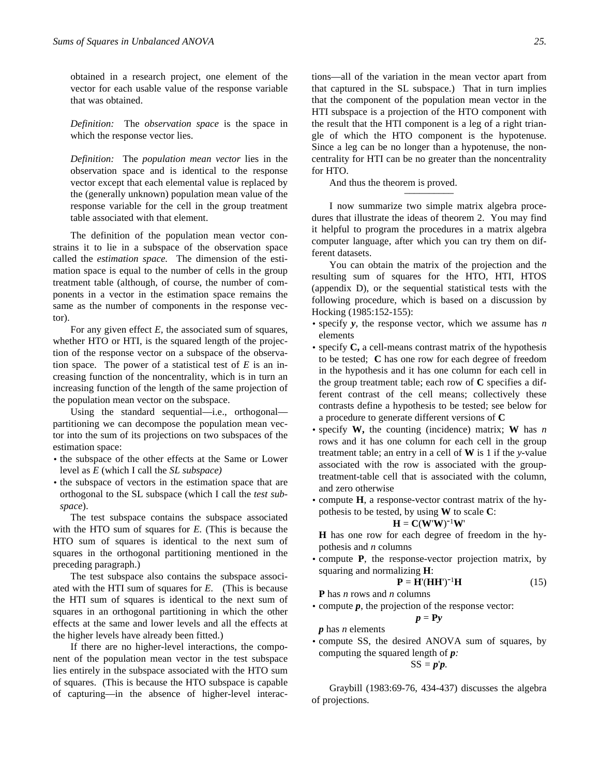obtained in a research project, one element of the vector for each usable value of the response variable that was obtained.

*Definition:* The *observation space* is the space in which the response vector lies.

*Definition:* The *population mean vector* lies in the observation space and is identical to the response vector except that each elemental value is replaced by the (generally unknown) population mean value of the response variable for the cell in the group treatment table associated with that element.

The definition of the population mean vector constrains it to lie in a subspace of the observation space called the *estimation space.* The dimension of the estimation space is equal to the number of cells in the group treatment table (although, of course, the number of components in a vector in the estimation space remains the same as the number of components in the response vector).

For any given effect *E,* the associated sum of squares, whether HTO or HTI, is the squared length of the projection of the response vector on a subspace of the observation space. The power of a statistical test of *E* is an increasing function of the noncentrality, which is in turn an increasing function of the length of the same projection of the population mean vector on the subspace.

Using the standard sequential—i.e., orthogonal partitioning we can decompose the population mean vector into the sum of its projections on two subspaces of the estimation space:

- the subspace of the other effects at the Same or Lower level as *E* (which I call the *SL subspace)*
- the subspace of vectors in the estimation space that are orthogonal to the SL subspace (which I call the *test subspace*).

The test subspace contains the subspace associated with the HTO sum of squares for *E.* (This is because the HTO sum of squares is identical to the next sum of squares in the orthogonal partitioning mentioned in the preceding paragraph.)

The test subspace also contains the subspace associated with the HTI sum of squares for *E.* (This is because the HTI sum of squares is identical to the next sum of squares in an orthogonal partitioning in which the other effects at the same and lower levels and all the effects at the higher levels have already been fitted.)

If there are no higher-level interactions, the component of the population mean vector in the test subspace lies entirely in the subspace associated with the HTO sum of squares. (This is because the HTO subspace is capable of capturing—in the absence of higher-level interac-

tions—all of the variation in the mean vector apart from that captured in the SL subspace.) That in turn implies that the component of the population mean vector in the HTI subspace is a projection of the HTO component with the result that the HTI component is a leg of a right triangle of which the HTO component is the hypotenuse. Since a leg can be no longer than a hypotenuse, the noncentrality for HTI can be no greater than the noncentrality for HTO.

And thus the theorem is proved.

I now summarize two simple matrix algebra procedures that illustrate the ideas of theorem 2. You may find it helpful to program the procedures in a matrix algebra computer language, after which you can try them on different datasets.

You can obtain the matrix of the projection and the resulting sum of squares for the HTO, HTI, HTOS (appendix D), or the sequential statistical tests with the following procedure, which is based on a discussion by Hocking (1985:152-155):

- specify *y*, the response vector, which we assume has *n* elements
- specify **C,** a cell-means contrast matrix of the hypothesis to be tested; **C** has one row for each degree of freedom in the hypothesis and it has one column for each cell in the group treatment table; each row of **C** specifies a different contrast of the cell means; collectively these contrasts define a hypothesis to be tested; see below for a procedure to generate different versions of **C**
- specify **W,** the counting (incidence) matrix; **W** has *n* rows and it has one column for each cell in the group treatment table; an entry in a cell of **W** is 1 if the *y*-value associated with the row is associated with the grouptreatment-table cell that is associated with the column, and zero otherwise
- compute **H**, a response-vector contrast matrix of the hypothesis to be tested, by using **W** to scale **C**:

$$
\mathbf{H} = \mathbf{C}(\mathbf{W}^{\mathsf{T}}\mathbf{W})^{-1}\mathbf{W}^{\mathsf{T}}
$$

**H** has one row for each degree of freedom in the hypothesis and *n* columns

• compute **P**, the response-vector projection matrix, by squaring and normalizing **H**:

$$
\mathbf{P} = \mathbf{H}'(\mathbf{H}\mathbf{H}')^{-1}\mathbf{H}
$$
 (15)

**P** has *n* rows and *n* columns

• compute *p*, the projection of the response vector:

$$
p = Py
$$
  
*p* has *n* elements

• compute SS, the desired ANOVA sum of squares, by computing the squared length of *p:*

$$
SS=p'p.
$$

Graybill (1983:69-76, 434-437) discusses the algebra of projections.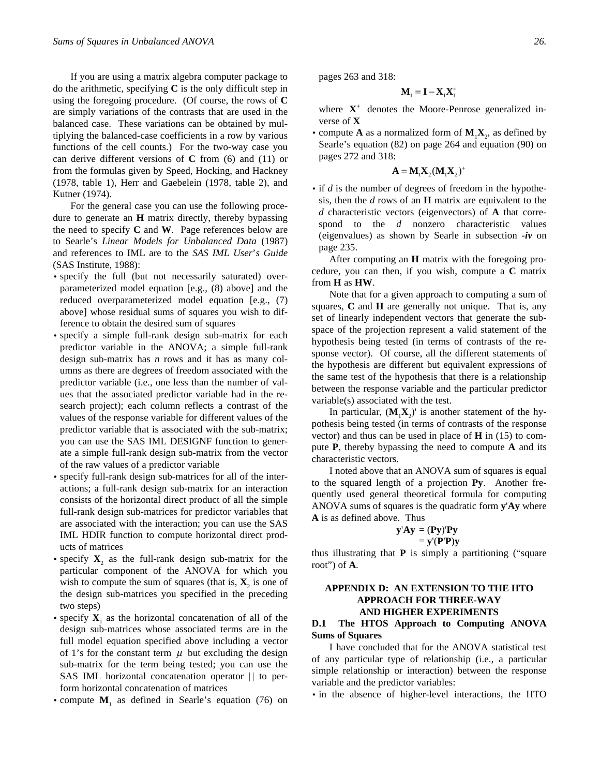If you are using a matrix algebra computer package to do the arithmetic, specifying **C** is the only difficult step in using the foregoing procedure. (Of course, the rows of **C** are simply variations of the contrasts that are used in the balanced case. These variations can be obtained by multiplying the balanced-case coefficients in a row by various functions of the cell counts.) For the two-way case you can derive different versions of **C** from (6) and (11) or from the formulas given by Speed, Hocking, and Hackney (1978, table 1), Herr and Gaebelein (1978, table 2), and Kutner (1974).

For the general case you can use the following procedure to generate an **H** matrix directly, thereby bypassing the need to specify **C** and **W**. Page references below are to Searle's *Linear Models for Unbalanced Data* (1987) and references to IML are to the *SAS IML User*'*s Guide* (SAS Institute, 1988):

- specify the full (but not necessarily saturated) overparameterized model equation [e.g., (8) above] and the reduced overparameterized model equation [e.g., (7) above] whose residual sums of squares you wish to difference to obtain the desired sum of squares
- specify a simple full-rank design sub-matrix for each predictor variable in the ANOVA; a simple full-rank design sub-matrix has *n* rows and it has as many columns as there are degrees of freedom associated with the predictor variable (i.e., one less than the number of values that the associated predictor variable had in the research project); each column reflects a contrast of the values of the response variable for different values of the predictor variable that is associated with the sub-matrix; you can use the SAS IML DESIGNF function to generate a simple full-rank design sub-matrix from the vector of the raw values of a predictor variable
- specify full-rank design sub-matrices for all of the interactions; a full-rank design sub-matrix for an interaction consists of the horizontal direct product of all the simple full-rank design sub-matrices for predictor variables that are associated with the interaction; you can use the SAS IML HDIR function to compute horizontal direct products of matrices
- specify  $X_2$  as the full-rank design sub-matrix for the particular component of the ANOVA for which you wish to compute the sum of squares (that is,  $X_2$  is one of the design sub-matrices you specified in the preceding two steps)
- specify  $X_1$  as the horizontal concatenation of all of the design sub-matrices whose associated terms are in the full model equation specified above including a vector of 1's for the constant term  $\mu$  but excluding the design sub-matrix for the term being tested; you can use the SAS IML horizontal concatenation operator  $||$  to perform horizontal concatenation of matrices
- compute  $M_1$  as defined in Searle's equation (76) on

pages 263 and 318:

$$
\mathbf{M}_{\text{\tiny{l}}}=\mathbf{I}-\mathbf{X}_{\text{\tiny{l}}} \mathbf{X}_{\text{\tiny{l}}}^+
$$

where  $X^+$  denotes the Moore-Penrose generalized inverse of **X**

• compute **A** as a normalized form of  $M_1X_2$ , as defined by Searle's equation (82) on page 264 and equation (90) on pages 272 and 318:

$$
\mathbf{A} = \mathbf{M}_1 \mathbf{X}_2 (\mathbf{M}_1 \mathbf{X}_2)^+
$$

• if *d* is the number of degrees of freedom in the hypothesis, then the *d* rows of an **H** matrix are equivalent to the *d* characteristic vectors (eigenvectors) of **A** that correspond to the *d* nonzero characteristic values (eigenvalues) as shown by Searle in subsection *-iv* on page 235.

After computing an **H** matrix with the foregoing procedure, you can then, if you wish, compute a **C** matrix from **H** as **HW**.

Note that for a given approach to computing a sum of squares, **C** and **H** are generally not unique. That is, any set of linearly independent vectors that generate the subspace of the projection represent a valid statement of the hypothesis being tested (in terms of contrasts of the response vector). Of course, all the different statements of the hypothesis are different but equivalent expressions of the same test of the hypothesis that there is a relationship between the response variable and the particular predictor variable(s) associated with the test.

In particular,  $(M_1X_2)$ ' is another statement of the hypothesis being tested (in terms of contrasts of the response vector) and thus can be used in place of **H** in (15) to compute **P**, thereby bypassing the need to compute **A** and its characteristic vectors.

I noted above that an ANOVA sum of squares is equal to the squared length of a projection **Py**. Another frequently used general theoretical formula for computing ANOVA sums of squares is the quadratic form **y**'**Ay** where **A** is as defined above. Thus

$$
y'Ay = (Py)'Py
$$
  
= y'(P'Py)

thus illustrating that **P** is simply a partitioning ("square root") of **A**.

# **APPENDIX D: AN EXTENSION TO THE HTO APPROACH FOR THREE-WAY AND HIGHER EXPERIMENTS**

# **D.1 The HTOS Approach to Computing ANOVA Sums of Squares**

I have concluded that for the ANOVA statistical test of any particular type of relationship (i.e., a particular simple relationship or interaction) between the response variable and the predictor variables:

• in the absence of higher-level interactions, the HTO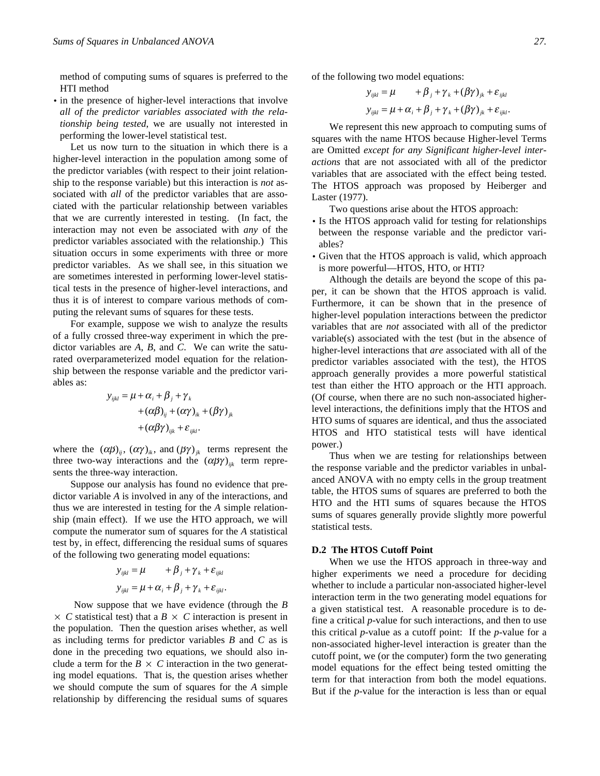method of computing sums of squares is preferred to the HTI method

• in the presence of higher-level interactions that involve *all of the predictor variables associated with the relationship being tested*, we are usually not interested in performing the lower-level statistical test.

Let us now turn to the situation in which there is a higher-level interaction in the population among some of the predictor variables (with respect to their joint relationship to the response variable) but this interaction is *not* associated with *all* of the predictor variables that are associated with the particular relationship between variables that we are currently interested in testing. (In fact, the interaction may not even be associated with *any* of the predictor variables associated with the relationship.) This situation occurs in some experiments with three or more predictor variables. As we shall see, in this situation we are sometimes interested in performing lower-level statistical tests in the presence of higher-level interactions, and thus it is of interest to compare various methods of computing the relevant sums of squares for these tests.

For example, suppose we wish to analyze the results of a fully crossed three-way experiment in which the predictor variables are *A*, *B*, and *C*. We can write the saturated overparameterized model equation for the relationship between the response variable and the predictor variables as:

$$
y_{ijkl} = \mu + \alpha_i + \beta_j + \gamma_k
$$
  
+ 
$$
(\alpha \beta)_{ij} + (\alpha \gamma)_{ik} + (\beta \gamma)_{jk}
$$
  
+ 
$$
(\alpha \beta \gamma)_{ijk} + \varepsilon_{ijkl}.
$$

where the  $(\alpha \beta)_{ij}$ ,  $(\alpha \gamma)_{ik}$ , and  $(\beta \gamma)_{jk}$  terms represent the three two-way interactions and the  $(\alpha \beta \gamma)_{ijk}$  term represents the three-way interaction.

Suppose our analysis has found no evidence that predictor variable *A* is involved in any of the interactions, and thus we are interested in testing for the *A* simple relationship (main effect). If we use the HTO approach, we will compute the numerator sum of squares for the *A* statistical test by, in effect, differencing the residual sums of squares of the following two generating model equations:

$$
y_{ijkl} = \mu + \beta_j + \gamma_k + \varepsilon_{ijkl}
$$
  

$$
y_{ijkl} = \mu + \alpha_i + \beta_j + \gamma_k + \varepsilon_{ijkl}.
$$

Now suppose that we have evidence (through the *B*  $\times$  *C* statistical test) that a *B*  $\times$  *C* interaction is present in the population. Then the question arises whether, as well as including terms for predictor variables *B* and *C* as is done in the preceding two equations, we should also include a term for the  $B \times C$  interaction in the two generating model equations. That is, the question arises whether we should compute the sum of squares for the *A* simple relationship by differencing the residual sums of squares of the following two model equations:

$$
y_{ijkl} = \mu + \beta_j + \gamma_k + (\beta \gamma)_{jk} + \varepsilon_{ijkl}
$$
  

$$
y_{ijkl} = \mu + \alpha_i + \beta_j + \gamma_k + (\beta \gamma)_{jk} + \varepsilon_{ijkl}.
$$

We represent this new approach to computing sums of squares with the name HTOS because Higher-level Terms are Omitted *except for any Significant higher-level interactions* that are not associated with all of the predictor variables that are associated with the effect being tested. The HTOS approach was proposed by Heiberger and Laster (1977).

Two questions arise about the HTOS approach:

- Is the HTOS approach valid for testing for relationships between the response variable and the predictor variables?
- Given that the HTOS approach is valid, which approach is more powerful—HTOS, HTO, or HTI?

Although the details are beyond the scope of this paper, it can be shown that the HTOS approach is valid. Furthermore, it can be shown that in the presence of higher-level population interactions between the predictor variables that are *not* associated with all of the predictor variable(s) associated with the test (but in the absence of higher-level interactions that *are* associated with all of the predictor variables associated with the test), the HTOS approach generally provides a more powerful statistical test than either the HTO approach or the HTI approach. (Of course, when there are no such non-associated higherlevel interactions, the definitions imply that the HTOS and HTO sums of squares are identical, and thus the associated HTOS and HTO statistical tests will have identical power.)

Thus when we are testing for relationships between the response variable and the predictor variables in unbalanced ANOVA with no empty cells in the group treatment table, the HTOS sums of squares are preferred to both the HTO and the HTI sums of squares because the HTOS sums of squares generally provide slightly more powerful statistical tests.

# **D.2 The HTOS Cutoff Point**

When we use the HTOS approach in three-way and higher experiments we need a procedure for deciding whether to include a particular non-associated higher-level interaction term in the two generating model equations for a given statistical test. A reasonable procedure is to define a critical *p*-value for such interactions, and then to use this critical *p*-value as a cutoff point: If the *p*-value for a non-associated higher-level interaction is greater than the cutoff point, we (or the computer) form the two generating model equations for the effect being tested omitting the term for that interaction from both the model equations. But if the *p*-value for the interaction is less than or equal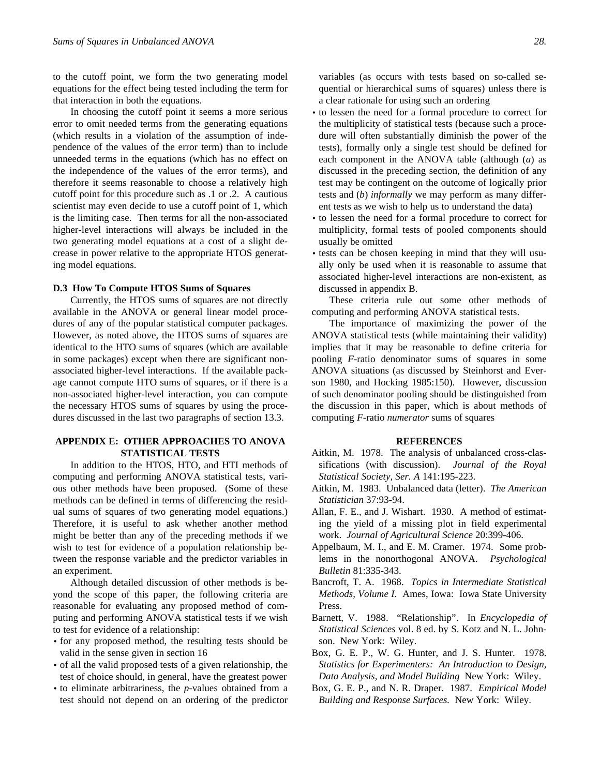to the cutoff point, we form the two generating model equations for the effect being tested including the term for that interaction in both the equations.

In choosing the cutoff point it seems a more serious error to omit needed terms from the generating equations (which results in a violation of the assumption of independence of the values of the error term) than to include unneeded terms in the equations (which has no effect on the independence of the values of the error terms), and therefore it seems reasonable to choose a relatively high cutoff point for this procedure such as .1 or .2. A cautious scientist may even decide to use a cutoff point of 1, which is the limiting case. Then terms for all the non-associated higher-level interactions will always be included in the two generating model equations at a cost of a slight decrease in power relative to the appropriate HTOS generating model equations.

#### **D.3 How To Compute HTOS Sums of Squares**

Currently, the HTOS sums of squares are not directly available in the ANOVA or general linear model procedures of any of the popular statistical computer packages. However, as noted above, the HTOS sums of squares are identical to the HTO sums of squares (which are available in some packages) except when there are significant nonassociated higher-level interactions. If the available package cannot compute HTO sums of squares, or if there is a non-associated higher-level interaction, you can compute the necessary HTOS sums of squares by using the procedures discussed in the last two paragraphs of section 13.3.

# **APPENDIX E: OTHER APPROACHES TO ANOVA STATISTICAL TESTS**

In addition to the HTOS, HTO, and HTI methods of computing and performing ANOVA statistical tests, various other methods have been proposed. (Some of these methods can be defined in terms of differencing the residual sums of squares of two generating model equations.) Therefore, it is useful to ask whether another method might be better than any of the preceding methods if we wish to test for evidence of a population relationship between the response variable and the predictor variables in an experiment.

Although detailed discussion of other methods is beyond the scope of this paper, the following criteria are reasonable for evaluating any proposed method of computing and performing ANOVA statistical tests if we wish to test for evidence of a relationship:

- for any proposed method, the resulting tests should be valid in the sense given in section 16
- of all the valid proposed tests of a given relationship, the test of choice should, in general, have the greatest power
- to eliminate arbitrariness, the *p*-values obtained from a test should not depend on an ordering of the predictor

variables (as occurs with tests based on so-called sequential or hierarchical sums of squares) unless there is a clear rationale for using such an ordering

- to lessen the need for a formal procedure to correct for the multiplicity of statistical tests (because such a procedure will often substantially diminish the power of the tests), formally only a single test should be defined for each component in the ANOVA table (although (*a*) as discussed in the preceding section, the definition of any test may be contingent on the outcome of logically prior tests and (*b*) *informally* we may perform as many different tests as we wish to help us to understand the data)
- to lessen the need for a formal procedure to correct for multiplicity, formal tests of pooled components should usually be omitted
- tests can be chosen keeping in mind that they will usually only be used when it is reasonable to assume that associated higher-level interactions are non-existent, as discussed in appendix B.

These criteria rule out some other methods of computing and performing ANOVA statistical tests.

The importance of maximizing the power of the ANOVA statistical tests (while maintaining their validity) implies that it may be reasonable to define criteria for pooling *F*-ratio denominator sums of squares in some ANOVA situations (as discussed by Steinhorst and Everson 1980, and Hocking 1985:150). However, discussion of such denominator pooling should be distinguished from the discussion in this paper, which is about methods of computing *F*-ratio *numerator* sums of squares

#### **REFERENCES**

- Aitkin, M. 1978. The analysis of unbalanced cross-classifications (with discussion). *Journal of the Royal Statistical Society, Ser. A* 141:195-223.
- Aitkin, M. 1983. Unbalanced data (letter). *The American Statistician* 37:93-94.
- Allan, F. E., and J. Wishart. 1930. A method of estimating the yield of a missing plot in field experimental work. *Journal of Agricultural Science* 20:399-406.
- Appelbaum, M. I., and E. M. Cramer. 1974. Some problems in the nonorthogonal ANOVA. *Psychological Bulletin* 81:335-343.
- Bancroft, T. A. 1968. *Topics in Intermediate Statistical Methods, Volume I*. Ames, Iowa: Iowa State University Press.
- Barnett, V. 1988. "Relationship". In *Encyclopedia of Statistical Sciences* vol. 8 ed. by S. Kotz and N. L. Johnson. New York: Wiley.
- Box, G. E. P., W. G. Hunter, and J. S. Hunter. 1978. *Statistics for Experimenters: An Introduction to Design, Data Analysis, and Model Building* New York: Wiley.
- Box, G. E. P., and N. R. Draper. 1987. *Empirical Model Building and Response Surfaces.* New York: Wiley.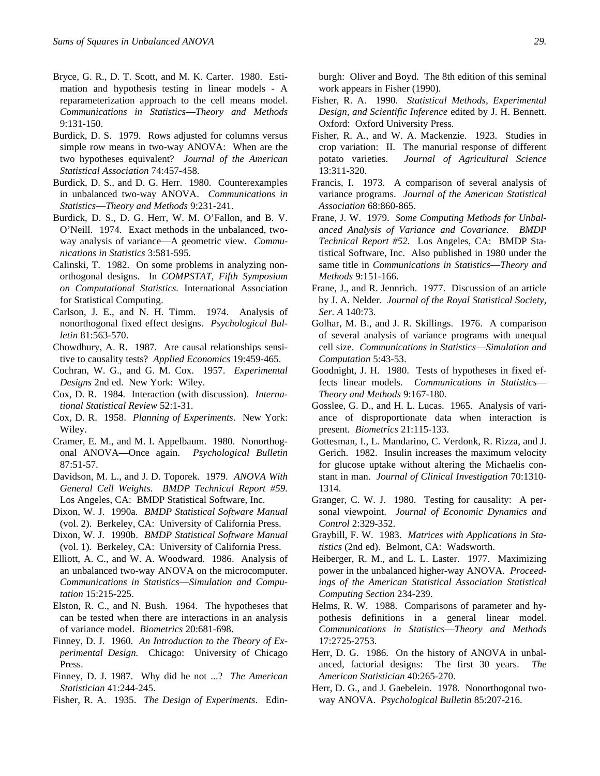- Bryce, G. R., D. T. Scott, and M. K. Carter. 1980. Estimation and hypothesis testing in linear models - A reparameterization approach to the cell means model. *Communications in Statistics*—*Theory and Methods* 9:131-150.
- Burdick, D. S. 1979. Rows adjusted for columns versus simple row means in two-way ANOVA: When are the two hypotheses equivalent? *Journal of the American Statistical Association* 74:457-458.
- Burdick, D. S., and D. G. Herr. 1980. Counterexamples in unbalanced two-way ANOVA. *Communications in Statistics*—*Theory and Methods* 9:231-241.
- Burdick, D. S., D. G. Herr, W. M. O'Fallon, and B. V. O'Neill. 1974. Exact methods in the unbalanced, twoway analysis of variance—A geometric view. *Communications in Statistics* 3:581-595.
- Calinski, T. 1982. On some problems in analyzing nonorthogonal designs. In *COMPSTAT, Fifth Symposium on Computational Statistics.* International Association for Statistical Computing.
- Carlson, J. E., and N. H. Timm. 1974. Analysis of nonorthogonal fixed effect designs. *Psychological Bulletin* 81:563-570.
- Chowdhury, A. R. 1987. Are causal relationships sensitive to causality tests? *Applied Economics* 19:459-465.
- Cochran, W. G., and G. M. Cox. 1957. *Experimental Designs* 2nd ed. New York: Wiley.
- Cox, D. R. 1984. Interaction (with discussion). *International Statistical Review* 52:1-31.
- Cox, D. R. 1958. *Planning of Experiments*. New York: Wiley.
- Cramer, E. M., and M. I. Appelbaum. 1980. Nonorthogonal ANOVA—Once again. *Psychological Bulletin* 87:51-57.
- Davidson, M. L., and J. D. Toporek. 1979. *ANOVA With General Cell Weights. BMDP Technical Report #59.* Los Angeles, CA: BMDP Statistical Software, Inc.
- Dixon, W. J. 1990a. *BMDP Statistical Software Manual* (vol. 2). Berkeley, CA: University of California Press.
- Dixon, W. J. 1990b. *BMDP Statistical Software Manual* (vol. 1). Berkeley, CA: University of California Press.
- Elliott, A. C., and W. A. Woodward. 1986. Analysis of an unbalanced two-way ANOVA on the microcomputer. *Communications in Statistics*—*Simulation and Computation* 15:215-225.
- Elston, R. C., and N. Bush. 1964. The hypotheses that can be tested when there are interactions in an analysis of variance model. *Biometrics* 20:681-698.
- Finney, D. J. 1960. *An Introduction to the Theory of Experimental Design.* Chicago: University of Chicago Press.
- Finney, D. J. 1987. Why did he not ...? *The American Statistician* 41:244-245.
- Fisher, R. A. 1935. *The Design of Experiments*. Edin-

burgh: Oliver and Boyd. The 8th edition of this seminal work appears in Fisher (1990).

- Fisher, R. A. 1990. *Statistical Methods, Experimental Design, and Scientific Inference* edited by J. H. Bennett. Oxford: Oxford University Press.
- Fisher, R. A., and W. A. Mackenzie. 1923. Studies in crop variation: II. The manurial response of different potato varieties. *Journal of Agricultural Science* 13:311-320.
- Francis, I. 1973. A comparison of several analysis of variance programs. *Journal of the American Statistical Association* 68:860-865.
- Frane, J. W. 1979. *Some Computing Methods for Unbalanced Analysis of Variance and Covariance. BMDP Technical Report #52.* Los Angeles, CA: BMDP Statistical Software, Inc. Also published in 1980 under the same title in *Communications in Statistics*—*Theory and Methods* 9:151-166.
- Frane, J., and R. Jennrich. 1977. Discussion of an article by J. A. Nelder. *Journal of the Royal Statistical Society, Ser. A* 140:73.
- Golhar, M. B., and J. R. Skillings. 1976. A comparison of several analysis of variance programs with unequal cell size. *Communications in Statistics*—*Simulation and Computation* 5:43-53.
- Goodnight, J. H. 1980. Tests of hypotheses in fixed effects linear models. *Communications in Statistics*— *Theory and Methods* 9:167-180.
- Gosslee, G. D., and H. L. Lucas. 1965. Analysis of variance of disproportionate data when interaction is present. *Biometrics* 21:115-133.
- Gottesman, I., L. Mandarino, C. Verdonk, R. Rizza, and J. Gerich. 1982. Insulin increases the maximum velocity for glucose uptake without altering the Michaelis constant in man. *Journal of Clinical Investigation* 70:1310- 1314.
- Granger, C. W. J. 1980. Testing for causality: A personal viewpoint. *Journal of Economic Dynamics and Control* 2:329-352.
- Graybill, F. W. 1983. *Matrices with Applications in Statistics* (2nd ed). Belmont, CA: Wadsworth.
- Heiberger, R. M., and L. L. Laster. 1977. Maximizing power in the unbalanced higher-way ANOVA. *Proceedings of the American Statistical Association Statistical Computing Section* 234-239.
- Helms, R. W. 1988. Comparisons of parameter and hypothesis definitions in a general linear model. *Communications in Statistics*—*Theory and Methods* 17:2725-2753.
- Herr, D. G. 1986. On the history of ANOVA in unbalanced, factorial designs: The first 30 years. *The American Statistician* 40:265-270.
- Herr, D. G., and J. Gaebelein. 1978. Nonorthogonal twoway ANOVA. *Psychological Bulletin* 85:207-216.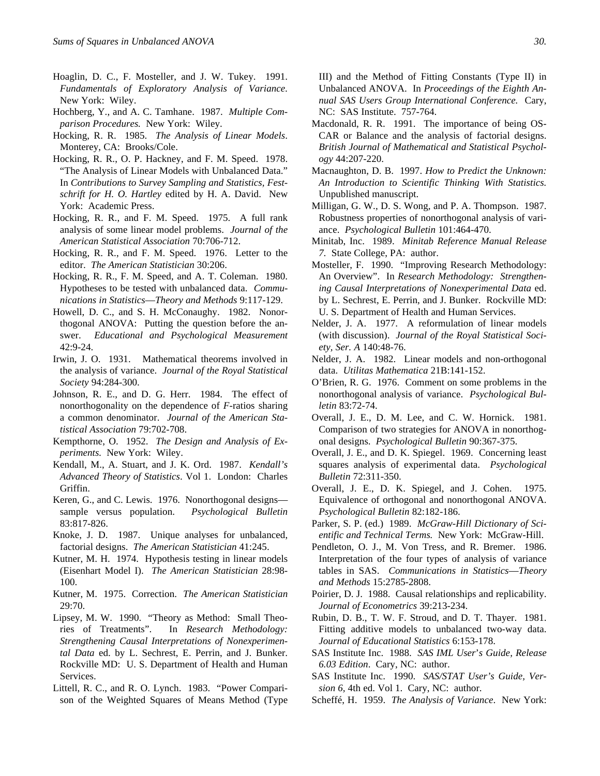- Hoaglin, D. C., F. Mosteller, and J. W. Tukey. 1991. *Fundamentals of Exploratory Analysis of Variance.* New York: Wiley.
- Hochberg, Y., and A. C. Tamhane. 1987. *Multiple Comparison Procedures.* New York: Wiley.
- Hocking, R. R. 1985. *The Analysis of Linear Models*. Monterey, CA: Brooks/Cole.
- Hocking, R. R., O. P. Hackney, and F. M. Speed. 1978. "The Analysis of Linear Models with Unbalanced Data." In *Contributions to Survey Sampling and Statistics, Festschrift for H. O. Hartley* edited by H. A. David. New York: Academic Press.
- Hocking, R. R., and F. M. Speed. 1975. A full rank analysis of some linear model problems. *Journal of the American Statistical Association* 70:706-712.
- Hocking, R. R., and F. M. Speed. 1976. Letter to the editor. *The American Statistician* 30:206.
- Hocking, R. R., F. M. Speed, and A. T. Coleman. 1980. Hypotheses to be tested with unbalanced data. *Communications in Statistics*—*Theory and Methods* 9:117-129.
- Howell, D. C., and S. H. McConaughy. 1982. Nonorthogonal ANOVA: Putting the question before the answer. *Educational and Psychological Measurement* 42:9-24.
- Irwin, J. O. 1931. Mathematical theorems involved in the analysis of variance. *Journal of the Royal Statistical Society* 94:284-300.
- Johnson, R. E., and D. G. Herr. 1984. The effect of nonorthogonality on the dependence of *F*-ratios sharing a common denominator. *Journal of the American Statistical Association* 79:702-708.
- Kempthorne, O. 1952. *The Design and Analysis of Experiments.* New York: Wiley.
- Kendall, M., A. Stuart, and J. K. Ord. 1987. *Kendall's Advanced Theory of Statistics*. Vol 1. London: Charles Griffin.
- Keren, G., and C. Lewis. 1976. Nonorthogonal designs sample versus population. *Psychological Bulletin* 83:817-826.
- Knoke, J. D. 1987. Unique analyses for unbalanced, factorial designs. *The American Statistician* 41:245.
- Kutner, M. H. 1974. Hypothesis testing in linear models (Eisenhart Model I). *The American Statistician* 28:98- 100.
- Kutner, M. 1975. Correction. *The American Statistician* 29:70.
- Lipsey, M. W. 1990. "Theory as Method: Small Theories of Treatments". In *Research Methodology: Strengthening Causal Interpretations of Nonexperimental Data* ed. by L. Sechrest, E. Perrin, and J. Bunker. Rockville MD: U. S. Department of Health and Human Services.
- Littell, R. C., and R. O. Lynch. 1983. "Power Comparison of the Weighted Squares of Means Method (Type

III) and the Method of Fitting Constants (Type II) in Unbalanced ANOVA. In *Proceedings of the Eighth Annual SAS Users Group International Conference.* Cary, NC: SAS Institute. 757-764.

- Macdonald, R. R. 1991. The importance of being OS-CAR or Balance and the analysis of factorial designs. *British Journal of Mathematical and Statistical Psychology* 44:207-220.
- Macnaughton, D. B. 1997. *How to Predict the Unknown: An Introduction to Scientific Thinking With Statistics.* Unpublished manuscript.
- Milligan, G. W., D. S. Wong, and P. A. Thompson. 1987. Robustness properties of nonorthogonal analysis of variance. *Psychological Bulletin* 101:464-470.
- Minitab, Inc. 1989. *Minitab Reference Manual Release 7.* State College, PA: author.
- Mosteller, F. 1990. "Improving Research Methodology: An Overview". In *Research Methodology: Strengthening Causal Interpretations of Nonexperimental Data* ed. by L. Sechrest, E. Perrin, and J. Bunker. Rockville MD: U. S. Department of Health and Human Services.
- Nelder, J. A. 1977. A reformulation of linear models (with discussion). *Journal of the Royal Statistical Society, Ser. A* 140:48-76.
- Nelder, J. A. 1982. Linear models and non-orthogonal data. *Utilitas Mathematica* 21B:141-152.
- O'Brien, R. G. 1976. Comment on some problems in the nonorthogonal analysis of variance. *Psychological Bulletin* 83:72-74.
- Overall, J. E., D. M. Lee, and C. W. Hornick. 1981. Comparison of two strategies for ANOVA in nonorthogonal designs. *Psychological Bulletin* 90:367-375.
- Overall, J. E., and D. K. Spiegel. 1969. Concerning least squares analysis of experimental data. *Psychological Bulletin* 72:311-350.
- Overall, J. E., D. K. Spiegel, and J. Cohen. 1975. Equivalence of orthogonal and nonorthogonal ANOVA. *Psychological Bulletin* 82:182-186.
- Parker, S. P. (ed.) 1989. *McGraw-Hill Dictionary of Scientific and Technical Terms.* New York: McGraw-Hill.
- Pendleton, O. J., M. Von Tress, and R. Bremer. 1986. Interpretation of the four types of analysis of variance tables in SAS. *Communications in Statistics*—*Theory and Methods* 15:2785-2808.
- Poirier, D. J. 1988. Causal relationships and replicability. *Journal of Econometrics* 39:213-234.
- Rubin, D. B., T. W. F. Stroud, and D. T. Thayer. 1981. Fitting additive models to unbalanced two-way data. *Journal of Educational Statistics* 6:153-178.
- SAS Institute Inc. 1988. *SAS IML User*'*s Guide, Release 6.03 Edition*. Cary, NC: author.
- SAS Institute Inc. 1990. *SAS/STAT User's Guide, Version 6,* 4th ed. Vol 1. Cary, NC: author.
- Scheffé, H. 1959. *The Analysis of Variance*. New York: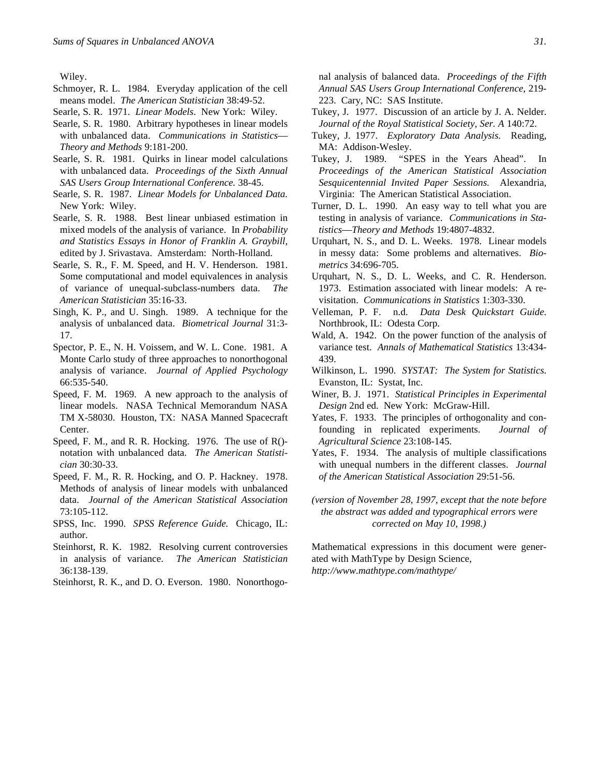Wiley.

- Schmoyer, R. L. 1984. Everyday application of the cell means model. *The American Statistician* 38:49-52.
- Searle, S. R. 1971. *Linear Models*. New York: Wiley.
- Searle, S. R. 1980. Arbitrary hypotheses in linear models with unbalanced data. *Communications in Statistics*— *Theory and Methods* 9:181-200.
- Searle, S. R. 1981. Quirks in linear model calculations with unbalanced data. *Proceedings of the Sixth Annual SAS Users Group International Conference.* 38-45.
- Searle, S. R. 1987. *Linear Models for Unbalanced Data.* New York: Wiley.
- Searle, S. R. 1988. Best linear unbiased estimation in mixed models of the analysis of variance. In *Probability and Statistics Essays in Honor of Franklin A. Graybill,* edited by J. Srivastava. Amsterdam: North-Holland.
- Searle, S. R., F. M. Speed, and H. V. Henderson. 1981. Some computational and model equivalences in analysis of variance of unequal-subclass-numbers data. *The American Statistician* 35:16-33.
- Singh, K. P., and U. Singh. 1989. A technique for the analysis of unbalanced data. *Biometrical Journal* 31:3- 17.
- Spector, P. E., N. H. Voissem, and W. L. Cone. 1981. A Monte Carlo study of three approaches to nonorthogonal analysis of variance. *Journal of Applied Psychology* 66:535-540.
- Speed, F. M. 1969. A new approach to the analysis of linear models. NASA Technical Memorandum NASA TM X-58030. Houston, TX: NASA Manned Spacecraft Center.
- Speed, F. M., and R. R. Hocking. 1976. The use of R() notation with unbalanced data. *The American Statistician* 30:30-33.
- Speed, F. M., R. R. Hocking, and O. P. Hackney. 1978. Methods of analysis of linear models with unbalanced data. *Journal of the American Statistical Association* 73:105-112.
- SPSS, Inc. 1990. *SPSS Reference Guide.* Chicago, IL: author.
- Steinhorst, R. K. 1982. Resolving current controversies in analysis of variance. *The American Statistician* 36:138-139.
- Steinhorst, R. K., and D. O. Everson. 1980. Nonorthogo-

nal analysis of balanced data. *Proceedings of the Fifth Annual SAS Users Group International Conference,* 219- 223. Cary, NC: SAS Institute.

- Tukey, J. 1977. Discussion of an article by J. A. Nelder. *Journal of the Royal Statistical Society, Ser. A* 140:72.
- Tukey, J. 1977. *Exploratory Data Analysis.* Reading, MA: Addison-Wesley.
- Tukey, J. 1989. "SPES in the Years Ahead". In *Proceedings of the American Statistical Association Sesquicentennial Invited Paper Sessions.* Alexandria, Virginia: The American Statistical Association.
- Turner, D. L. 1990. An easy way to tell what you are testing in analysis of variance. *Communications in Statistics*—*Theory and Methods* 19:4807-4832.
- Urquhart, N. S., and D. L. Weeks. 1978. Linear models in messy data: Some problems and alternatives. *Biometrics* 34:696-705.
- Urquhart, N. S., D. L. Weeks, and C. R. Henderson. 1973. Estimation associated with linear models: A revisitation. *Communications in Statistics* 1:303-330.
- Velleman, P. F. n.d. *Data Desk Quickstart Guide.* Northbrook, IL: Odesta Corp.
- Wald, A. 1942. On the power function of the analysis of variance test. *Annals of Mathematical Statistics* 13:434- 439.
- Wilkinson, L. 1990. *SYSTAT: The System for Statistics.* Evanston, IL: Systat, Inc.
- Winer, B. J. 1971. *Statistical Principles in Experimental Design* 2nd ed. New York: McGraw-Hill.
- Yates, F. 1933. The principles of orthogonality and confounding in replicated experiments. *Journal of Agricultural Science* 23:108-145.
- Yates, F. 1934. The analysis of multiple classifications with unequal numbers in the different classes. *Journal of the American Statistical Association* 29:51-56.
- *(version of November 28, 1997, except that the note before the abstract was added and typographical errors were corrected on May 10, 1998.)*

Mathematical expressions in this document were generated with MathType by Design Science, *http://www.mathtype.com/mathtype/*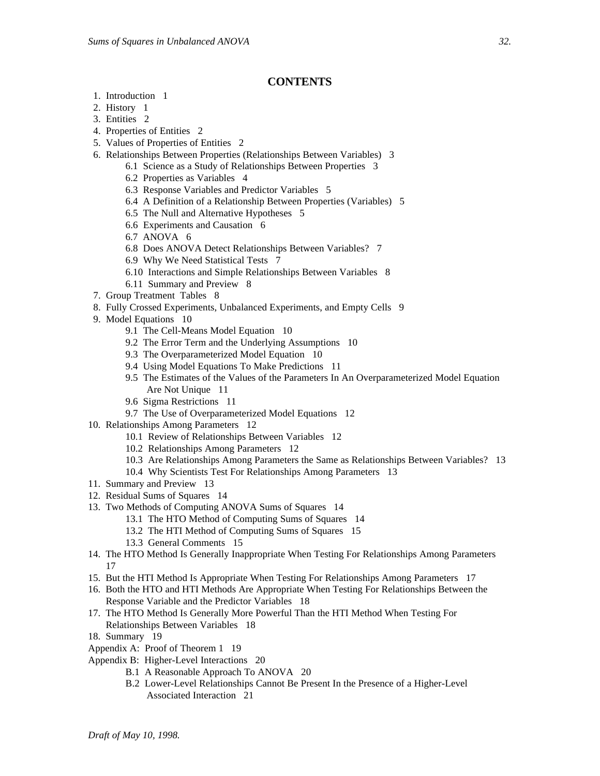# **CONTENTS**

- 1. Introduction 1
- 2. History 1
- 3. Entities 2
- 4. Properties of Entities 2
- 5. Values of Properties of Entities 2
- 6. Relationships Between Properties (Relationships Between Variables) 3
	- 6.1 Science as a Study of Relationships Between Properties 3
	- 6.2 Properties as Variables 4
	- 6.3 Response Variables and Predictor Variables 5
	- 6.4 A Definition of a Relationship Between Properties (Variables) 5
	- 6.5 The Null and Alternative Hypotheses 5
	- 6.6 Experiments and Causation 6
	- 6.7 ANOVA 6
	- 6.8 Does ANOVA Detect Relationships Between Variables? 7
	- 6.9 Why We Need Statistical Tests 7
	- 6.10 Interactions and Simple Relationships Between Variables 8
	- 6.11 Summary and Preview 8
- 7. Group Treatment Tables 8
- 8. Fully Crossed Experiments, Unbalanced Experiments, and Empty Cells 9
- 9. Model Equations 10
	- 9.1 The Cell-Means Model Equation 10
	- 9.2 The Error Term and the Underlying Assumptions 10
	- 9.3 The Overparameterized Model Equation 10
	- 9.4 Using Model Equations To Make Predictions 11
	- 9.5 The Estimates of the Values of the Parameters In An Overparameterized Model Equation Are Not Unique 11
	- 9.6 Sigma Restrictions 11
	- 9.7 The Use of Overparameterized Model Equations 12
- 10. Relationships Among Parameters 12
	- 10.1 Review of Relationships Between Variables 12
	- 10.2 Relationships Among Parameters 12
	- 10.3 Are Relationships Among Parameters the Same as Relationships Between Variables? 13
	- 10.4 Why Scientists Test For Relationships Among Parameters 13
- 11. Summary and Preview 13
- 12. Residual Sums of Squares 14
- 13. Two Methods of Computing ANOVA Sums of Squares 14
	- 13.1 The HTO Method of Computing Sums of Squares 14
	- 13.2 The HTI Method of Computing Sums of Squares 15
	- 13.3 General Comments 15
- 14. The HTO Method Is Generally Inappropriate When Testing For Relationships Among Parameters 17
- 15. But the HTI Method Is Appropriate When Testing For Relationships Among Parameters 17
- 16. Both the HTO and HTI Methods Are Appropriate When Testing For Relationships Between the Response Variable and the Predictor Variables 18
- 17. The HTO Method Is Generally More Powerful Than the HTI Method When Testing For Relationships Between Variables 18
- 18. Summary 19
- Appendix A: Proof of Theorem 1 19
- Appendix B: Higher-Level Interactions 20
	- B.1 A Reasonable Approach To ANOVA 20
	- B.2 Lower-Level Relationships Cannot Be Present In the Presence of a Higher-Level Associated Interaction 21